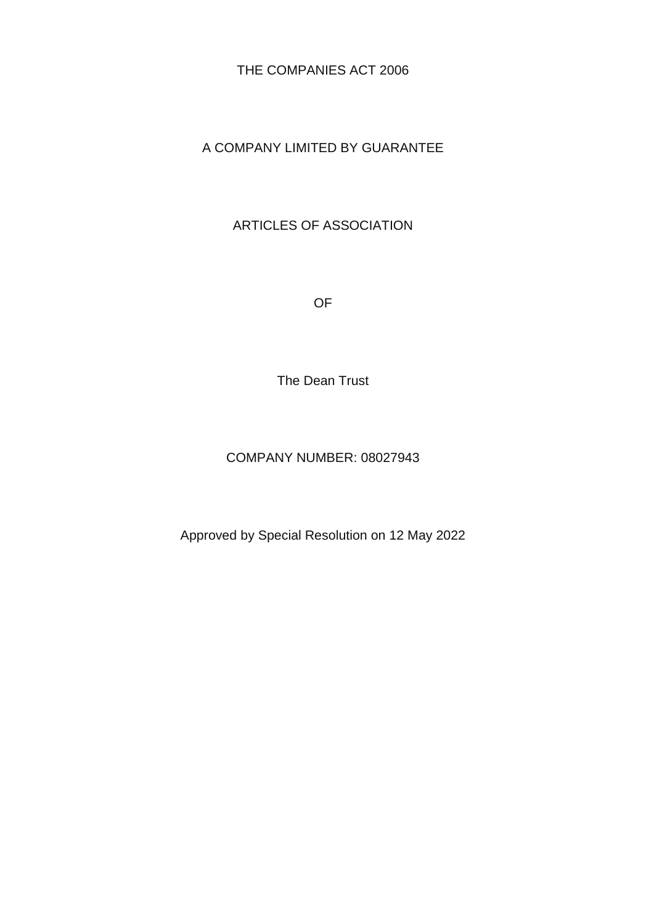THE COMPANIES ACT 2006

### A COMPANY LIMITED BY GUARANTEE

### ARTICLES OF ASSOCIATION

OF

The Dean Trust

#### COMPANY NUMBER: 08027943

Approved by Special Resolution on 12 May 2022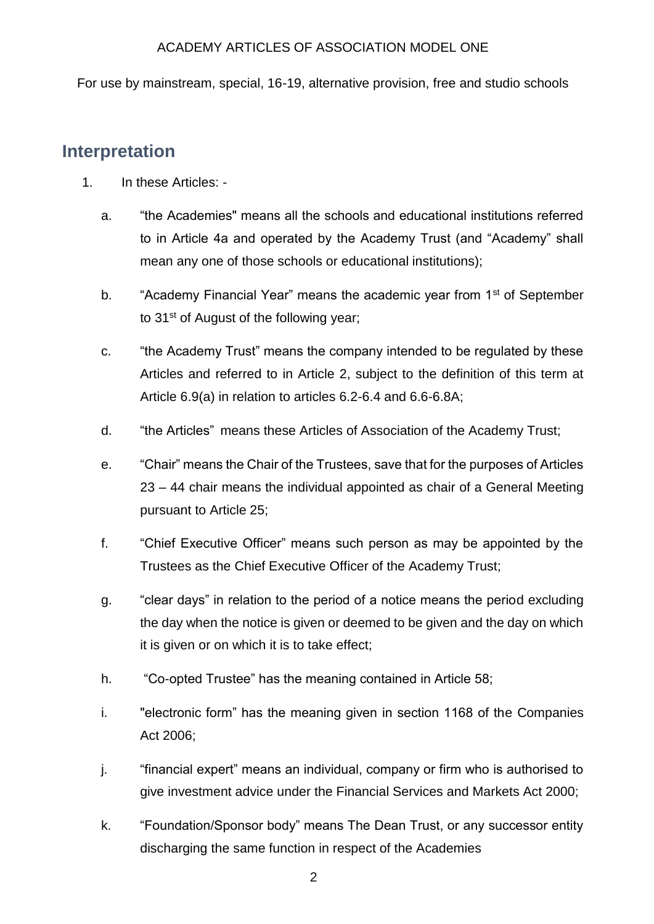For use by mainstream, special, 16-19, alternative provision, free and studio schools

### **Interpretation**

- 1. In these Articles:
	- a. "the Academies" means all the schools and educational institutions referred to in Article 4a and operated by the Academy Trust (and "Academy" shall mean any one of those schools or educational institutions);
	- b. "Academy Financial Year" means the academic year from 1<sup>st</sup> of September to 31st of August of the following year;
	- c. "the Academy Trust" means the company intended to be regulated by these Articles and referred to in Article 2, subject to the definition of this term at Article 6.9(a) in relation to articles 6.2-6.4 and 6.6-6.8A;
	- d. "the Articles" means these Articles of Association of the Academy Trust;
	- e. "Chair" means the Chair of the Trustees, save that for the purposes of Articles 23 – 44 chair means the individual appointed as chair of a General Meeting pursuant to Article 25;
	- f. "Chief Executive Officer" means such person as may be appointed by the Trustees as the Chief Executive Officer of the Academy Trust;
	- g. "clear days" in relation to the period of a notice means the period excluding the day when the notice is given or deemed to be given and the day on which it is given or on which it is to take effect;
	- h. "Co-opted Trustee" has the meaning contained in Article 58;
	- i. "electronic form" has the meaning given in section 1168 of the Companies Act 2006;
	- j. "financial expert" means an individual, company or firm who is authorised to give investment advice under the Financial Services and Markets Act 2000;
	- k. "Foundation/Sponsor body" means The Dean Trust, or any successor entity discharging the same function in respect of the Academies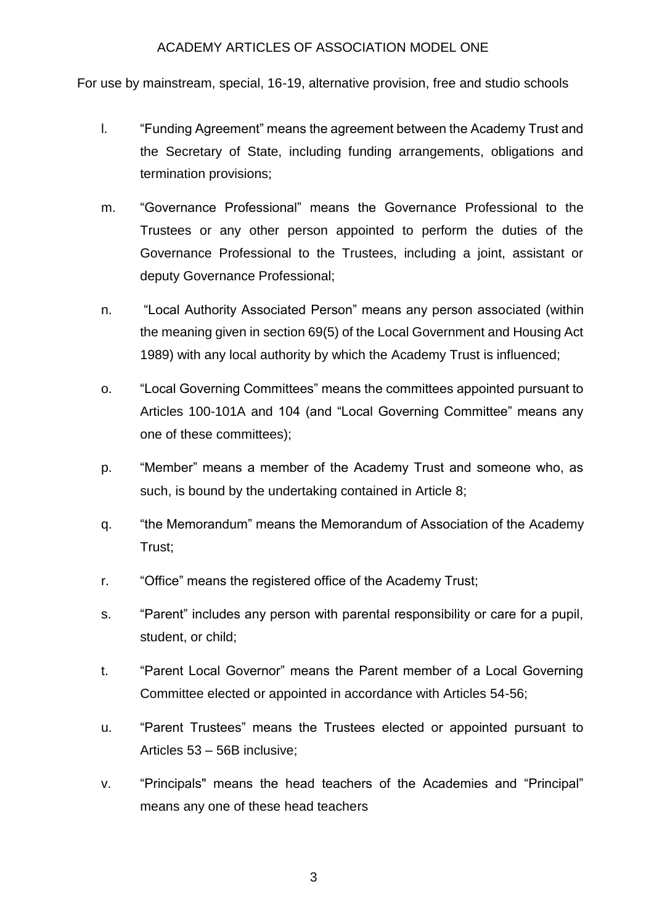For use by mainstream, special, 16-19, alternative provision, free and studio schools

- l. "Funding Agreement" means the agreement between the Academy Trust and the Secretary of State, including funding arrangements, obligations and termination provisions;
- m. "Governance Professional" means the Governance Professional to the Trustees or any other person appointed to perform the duties of the Governance Professional to the Trustees, including a joint, assistant or deputy Governance Professional;
- n. "Local Authority Associated Person" means any person associated (within the meaning given in section 69(5) of the Local Government and Housing Act 1989) with any local authority by which the Academy Trust is influenced;
- o. "Local Governing Committees" means the committees appointed pursuant to Articles 100-101A and 104 (and "Local Governing Committee" means any one of these committees);
- p. "Member" means a member of the Academy Trust and someone who, as such, is bound by the undertaking contained in Article 8;
- q. "the Memorandum" means the Memorandum of Association of the Academy Trust;
- r. "Office" means the registered office of the Academy Trust;
- s. "Parent" includes any person with parental responsibility or care for a pupil, student, or child;
- t. "Parent Local Governor" means the Parent member of a Local Governing Committee elected or appointed in accordance with Articles 54-56;
- u. "Parent Trustees" means the Trustees elected or appointed pursuant to Articles 53 – 56B inclusive;
- v. "Principals" means the head teachers of the Academies and "Principal" means any one of these head teachers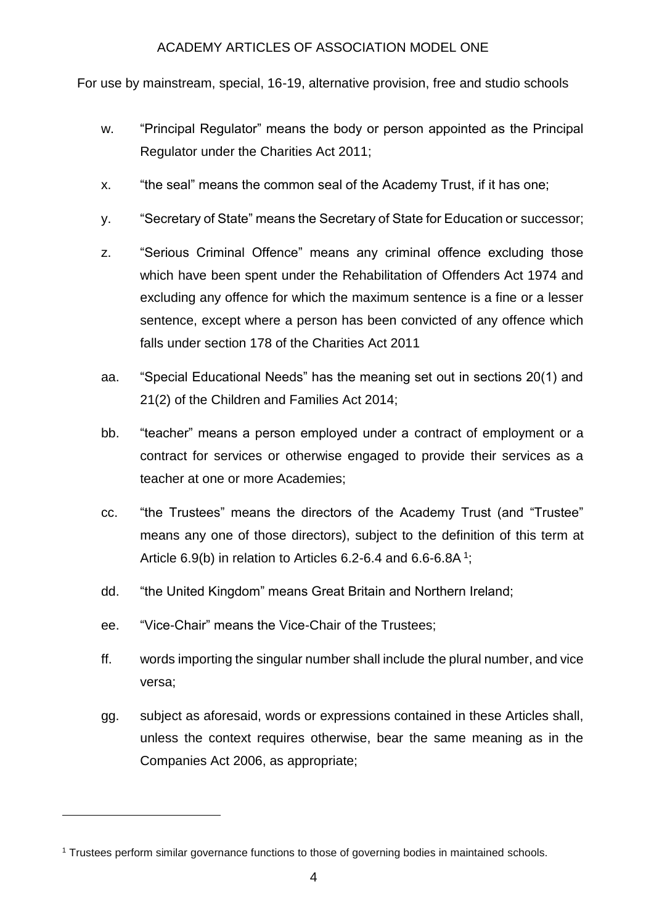For use by mainstream, special, 16-19, alternative provision, free and studio schools

- w. "Principal Regulator" means the body or person appointed as the Principal Regulator under the Charities Act 2011;
- x. "the seal" means the common seal of the Academy Trust, if it has one;
- y. "Secretary of State" means the Secretary of State for Education or successor;
- z. "Serious Criminal Offence" means any criminal offence excluding those which have been spent under the Rehabilitation of Offenders Act 1974 and excluding any offence for which the maximum sentence is a fine or a lesser sentence, except where a person has been convicted of any offence which falls under section 178 of the Charities Act 2011
- aa. "Special Educational Needs" has the meaning set out in sections 20(1) and 21(2) of the Children and Families Act 2014;
- bb. "teacher" means a person employed under a contract of employment or a contract for services or otherwise engaged to provide their services as a teacher at one or more Academies;
- cc. "the Trustees" means the directors of the Academy Trust (and "Trustee" means any one of those directors), subject to the definition of this term at Article 6.9(b) in relation to Articles 6.2-6.4 and 6.6-6.8A<sup>1</sup>;
- dd. "the United Kingdom" means Great Britain and Northern Ireland;
- ee. "Vice-Chair" means the Vice-Chair of the Trustees;

**.** 

- ff. words importing the singular number shall include the plural number, and vice versa;
- gg. subject as aforesaid, words or expressions contained in these Articles shall, unless the context requires otherwise, bear the same meaning as in the Companies Act 2006, as appropriate;

<sup>1</sup> Trustees perform similar governance functions to those of governing bodies in maintained schools.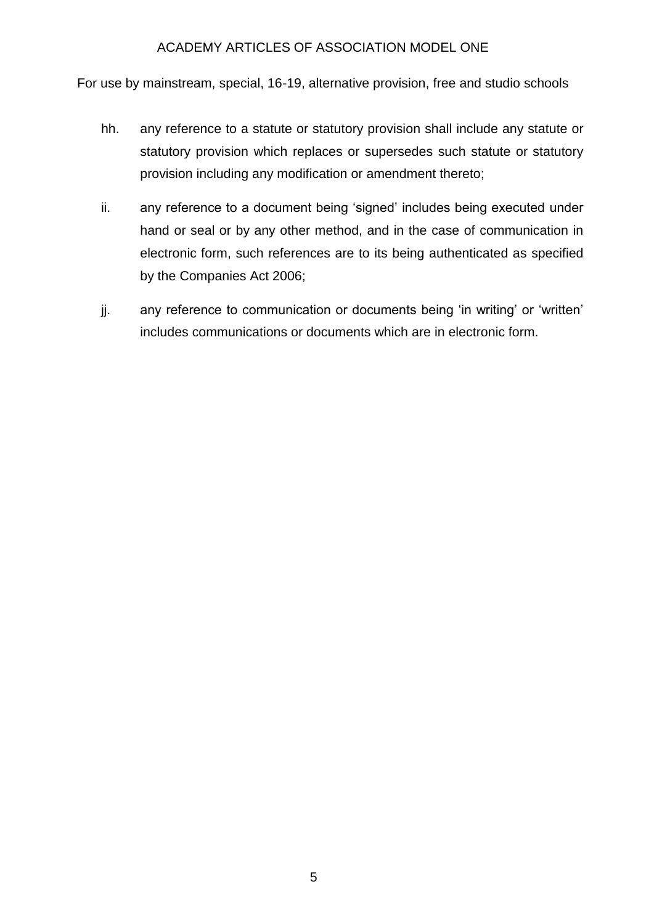For use by mainstream, special, 16-19, alternative provision, free and studio schools

- hh. any reference to a statute or statutory provision shall include any statute or statutory provision which replaces or supersedes such statute or statutory provision including any modification or amendment thereto;
- ii. any reference to a document being 'signed' includes being executed under hand or seal or by any other method, and in the case of communication in electronic form, such references are to its being authenticated as specified by the Companies Act 2006;
- jj. any reference to communication or documents being 'in writing' or 'written' includes communications or documents which are in electronic form.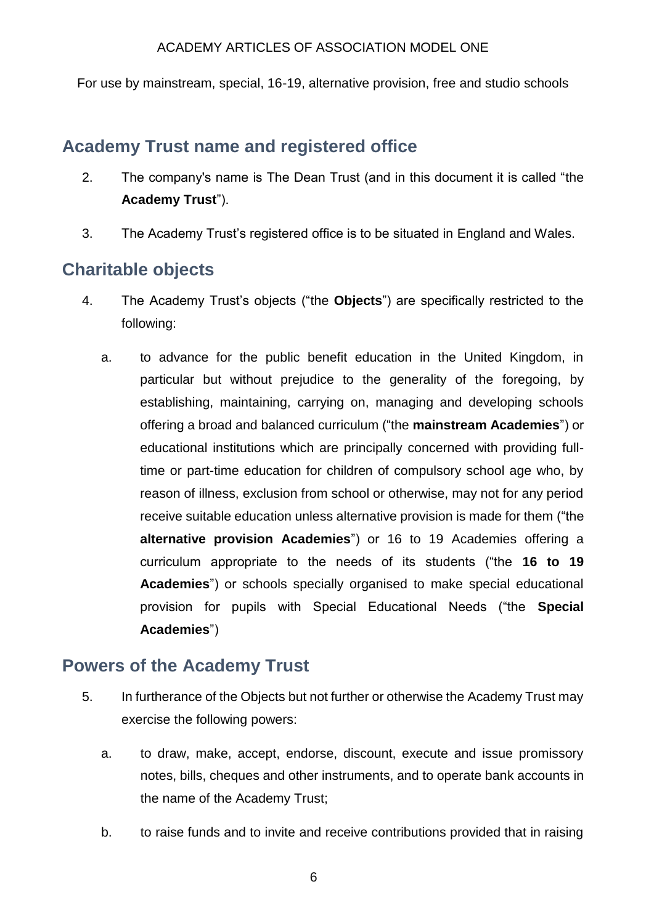For use by mainstream, special, 16-19, alternative provision, free and studio schools

# **Academy Trust name and registered office**

- 2. The company's name is The Dean Trust (and in this document it is called "the **Academy Trust**").
- 3. The Academy Trust's registered office is to be situated in England and Wales.

# **Charitable objects**

- 4. The Academy Trust's objects ("the **Objects**") are specifically restricted to the following:
	- a. to advance for the public benefit education in the United Kingdom, in particular but without prejudice to the generality of the foregoing, by establishing, maintaining, carrying on, managing and developing schools offering a broad and balanced curriculum ("the **mainstream Academies**") or educational institutions which are principally concerned with providing fulltime or part-time education for children of compulsory school age who, by reason of illness, exclusion from school or otherwise, may not for any period receive suitable education unless alternative provision is made for them ("the **alternative provision Academies**") or 16 to 19 Academies offering a curriculum appropriate to the needs of its students ("the **16 to 19 Academies**") or schools specially organised to make special educational provision for pupils with Special Educational Needs ("the **Special Academies**")

## **Powers of the Academy Trust**

- 5. In furtherance of the Objects but not further or otherwise the Academy Trust may exercise the following powers:
	- a. to draw, make, accept, endorse, discount, execute and issue promissory notes, bills, cheques and other instruments, and to operate bank accounts in the name of the Academy Trust;
	- b. to raise funds and to invite and receive contributions provided that in raising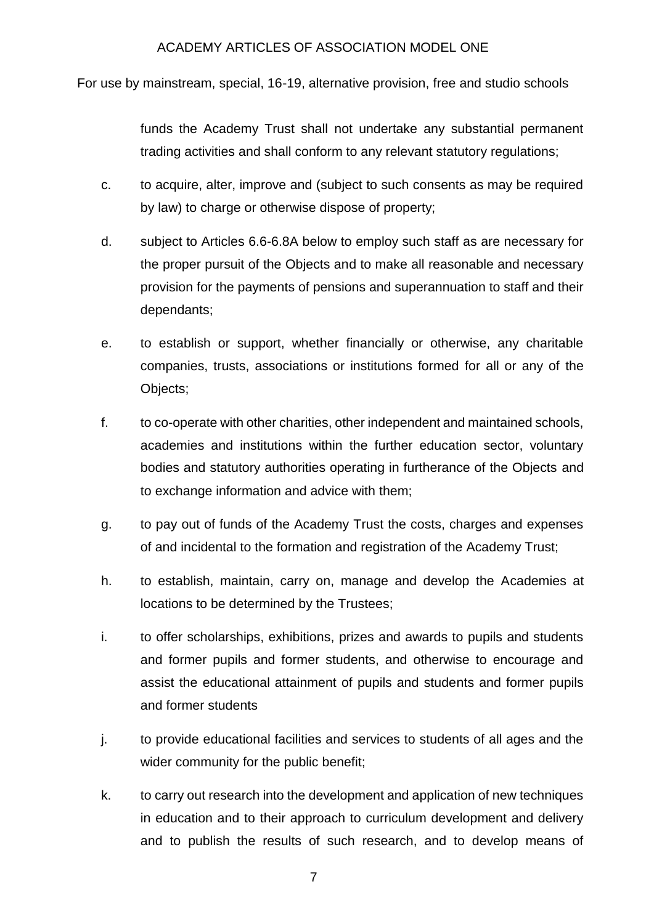For use by mainstream, special, 16-19, alternative provision, free and studio schools

funds the Academy Trust shall not undertake any substantial permanent trading activities and shall conform to any relevant statutory regulations;

- c. to acquire, alter, improve and (subject to such consents as may be required by law) to charge or otherwise dispose of property;
- d. subject to Articles 6.6-6.8A below to employ such staff as are necessary for the proper pursuit of the Objects and to make all reasonable and necessary provision for the payments of pensions and superannuation to staff and their dependants;
- e. to establish or support, whether financially or otherwise, any charitable companies, trusts, associations or institutions formed for all or any of the Objects;
- f. to co-operate with other charities, other independent and maintained schools, academies and institutions within the further education sector, voluntary bodies and statutory authorities operating in furtherance of the Objects and to exchange information and advice with them;
- g. to pay out of funds of the Academy Trust the costs, charges and expenses of and incidental to the formation and registration of the Academy Trust;
- h. to establish, maintain, carry on, manage and develop the Academies at locations to be determined by the Trustees;
- i. to offer scholarships, exhibitions, prizes and awards to pupils and students and former pupils and former students, and otherwise to encourage and assist the educational attainment of pupils and students and former pupils and former students
- j. to provide educational facilities and services to students of all ages and the wider community for the public benefit;
- k. to carry out research into the development and application of new techniques in education and to their approach to curriculum development and delivery and to publish the results of such research, and to develop means of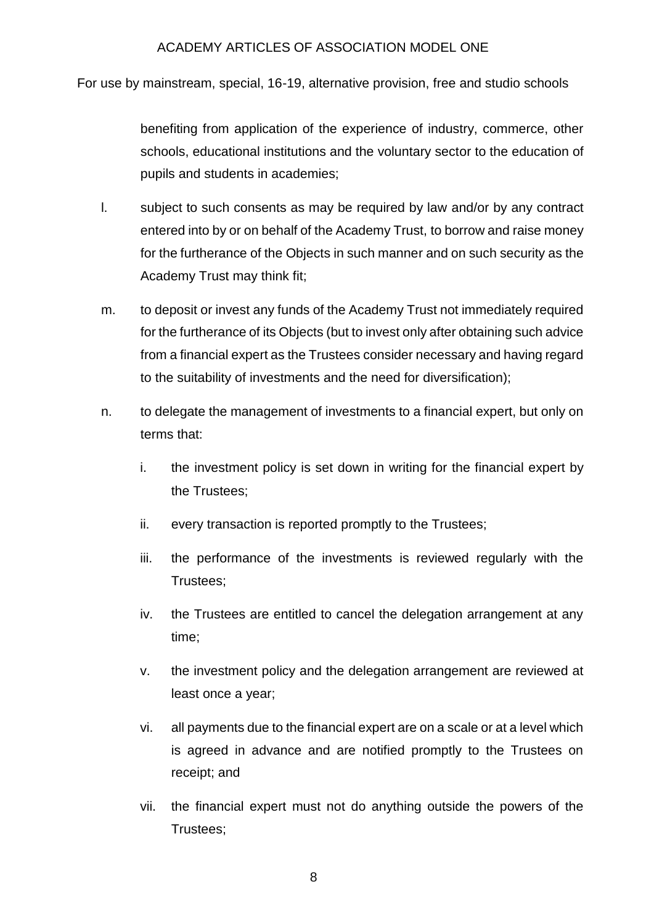For use by mainstream, special, 16-19, alternative provision, free and studio schools

benefiting from application of the experience of industry, commerce, other schools, educational institutions and the voluntary sector to the education of pupils and students in academies;

- l. subject to such consents as may be required by law and/or by any contract entered into by or on behalf of the Academy Trust, to borrow and raise money for the furtherance of the Objects in such manner and on such security as the Academy Trust may think fit;
- m. to deposit or invest any funds of the Academy Trust not immediately required for the furtherance of its Objects (but to invest only after obtaining such advice from a financial expert as the Trustees consider necessary and having regard to the suitability of investments and the need for diversification);
- n. to delegate the management of investments to a financial expert, but only on terms that:
	- i. the investment policy is set down in writing for the financial expert by the Trustees;
	- ii. every transaction is reported promptly to the Trustees;
	- iii. the performance of the investments is reviewed regularly with the Trustees;
	- iv. the Trustees are entitled to cancel the delegation arrangement at any time;
	- v. the investment policy and the delegation arrangement are reviewed at least once a year;
	- vi. all payments due to the financial expert are on a scale or at a level which is agreed in advance and are notified promptly to the Trustees on receipt; and
	- vii. the financial expert must not do anything outside the powers of the Trustees;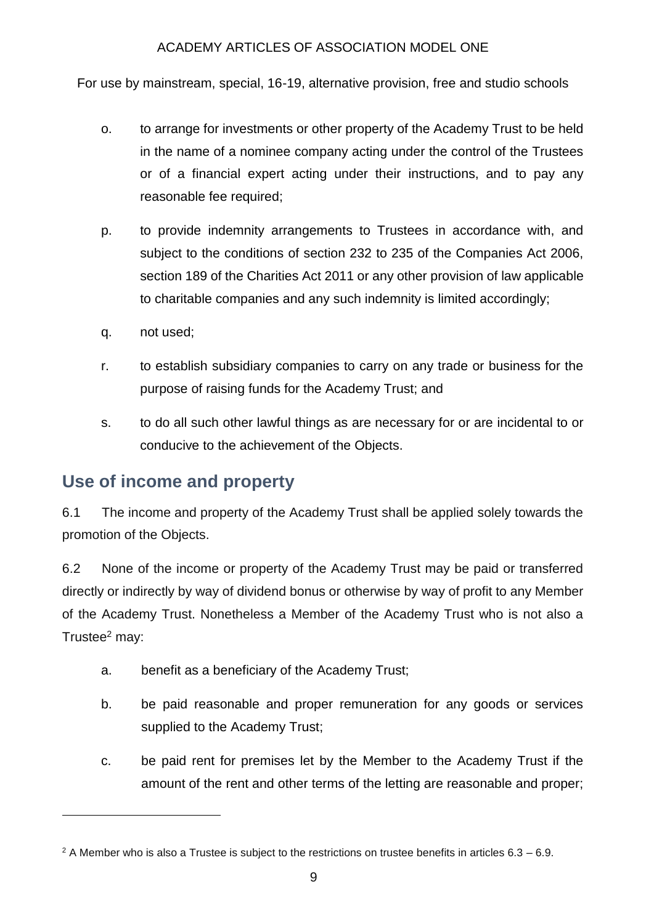For use by mainstream, special, 16-19, alternative provision, free and studio schools

- o. to arrange for investments or other property of the Academy Trust to be held in the name of a nominee company acting under the control of the Trustees or of a financial expert acting under their instructions, and to pay any reasonable fee required;
- p. to provide indemnity arrangements to Trustees in accordance with, and subject to the conditions of section 232 to 235 of the Companies Act 2006, section 189 of the Charities Act 2011 or any other provision of law applicable to charitable companies and any such indemnity is limited accordingly;
- q. not used;

**.** 

- r. to establish subsidiary companies to carry on any trade or business for the purpose of raising funds for the Academy Trust; and
- s. to do all such other lawful things as are necessary for or are incidental to or conducive to the achievement of the Objects.

## **Use of income and property**

6.1 The income and property of the Academy Trust shall be applied solely towards the promotion of the Objects.

6.2 None of the income or property of the Academy Trust may be paid or transferred directly or indirectly by way of dividend bonus or otherwise by way of profit to any Member of the Academy Trust. Nonetheless a Member of the Academy Trust who is not also a Trustee<sup>2</sup> may:

- a. benefit as a beneficiary of the Academy Trust;
- b. be paid reasonable and proper remuneration for any goods or services supplied to the Academy Trust;
- c. be paid rent for premises let by the Member to the Academy Trust if the amount of the rent and other terms of the letting are reasonable and proper;

 $2$  A Member who is also a Trustee is subject to the restrictions on trustee benefits in articles  $6.3 - 6.9$ .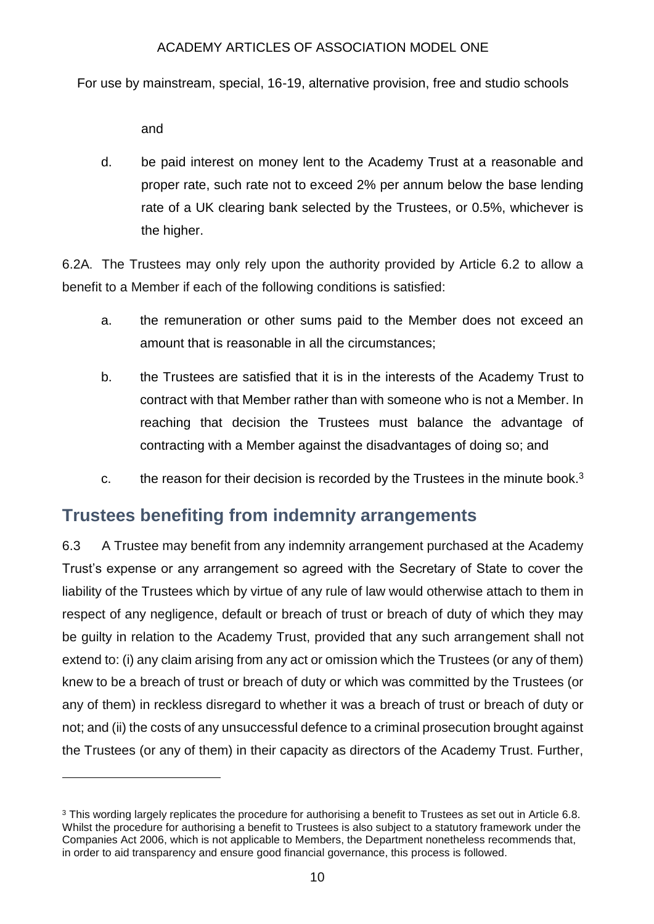For use by mainstream, special, 16-19, alternative provision, free and studio schools

and

**.** 

d. be paid interest on money lent to the Academy Trust at a reasonable and proper rate, such rate not to exceed 2% per annum below the base lending rate of a UK clearing bank selected by the Trustees, or 0.5%, whichever is the higher.

6.2A. The Trustees may only rely upon the authority provided by Article 6.2 to allow a benefit to a Member if each of the following conditions is satisfied:

- a. the remuneration or other sums paid to the Member does not exceed an amount that is reasonable in all the circumstances;
- b. the Trustees are satisfied that it is in the interests of the Academy Trust to contract with that Member rather than with someone who is not a Member. In reaching that decision the Trustees must balance the advantage of contracting with a Member against the disadvantages of doing so; and
- c. the reason for their decision is recorded by the Trustees in the minute book. $3$

## **Trustees benefiting from indemnity arrangements**

6.3 A Trustee may benefit from any indemnity arrangement purchased at the Academy Trust's expense or any arrangement so agreed with the Secretary of State to cover the liability of the Trustees which by virtue of any rule of law would otherwise attach to them in respect of any negligence, default or breach of trust or breach of duty of which they may be guilty in relation to the Academy Trust, provided that any such arrangement shall not extend to: (i) any claim arising from any act or omission which the Trustees (or any of them) knew to be a breach of trust or breach of duty or which was committed by the Trustees (or any of them) in reckless disregard to whether it was a breach of trust or breach of duty or not; and (ii) the costs of any unsuccessful defence to a criminal prosecution brought against the Trustees (or any of them) in their capacity as directors of the Academy Trust. Further,

<sup>&</sup>lt;sup>3</sup> This wording largely replicates the procedure for authorising a benefit to Trustees as set out in Article 6.8. Whilst the procedure for authorising a benefit to Trustees is also subject to a statutory framework under the Companies Act 2006, which is not applicable to Members, the Department nonetheless recommends that, in order to aid transparency and ensure good financial governance, this process is followed.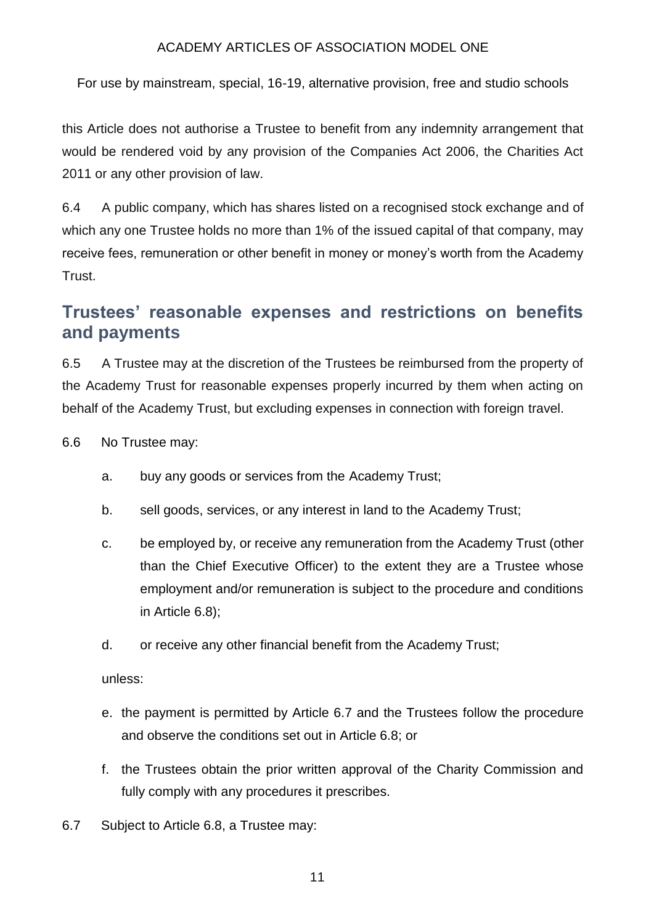For use by mainstream, special, 16-19, alternative provision, free and studio schools

this Article does not authorise a Trustee to benefit from any indemnity arrangement that would be rendered void by any provision of the Companies Act 2006, the Charities Act 2011 or any other provision of law.

6.4 A public company, which has shares listed on a recognised stock exchange and of which any one Trustee holds no more than 1% of the issued capital of that company, may receive fees, remuneration or other benefit in money or money's worth from the Academy Trust.

## **Trustees' reasonable expenses and restrictions on benefits and payments**

6.5 A Trustee may at the discretion of the Trustees be reimbursed from the property of the Academy Trust for reasonable expenses properly incurred by them when acting on behalf of the Academy Trust, but excluding expenses in connection with foreign travel.

6.6 No Trustee may:

- a. buy any goods or services from the Academy Trust;
- b. sell goods, services, or any interest in land to the Academy Trust;
- c. be employed by, or receive any remuneration from the Academy Trust (other than the Chief Executive Officer) to the extent they are a Trustee whose employment and/or remuneration is subject to the procedure and conditions in Article 6.8);
- d. or receive any other financial benefit from the Academy Trust;

unless:

- e. the payment is permitted by Article 6.7 and the Trustees follow the procedure and observe the conditions set out in Article 6.8; or
- f. the Trustees obtain the prior written approval of the Charity Commission and fully comply with any procedures it prescribes.
- 6.7 Subject to Article 6.8, a Trustee may: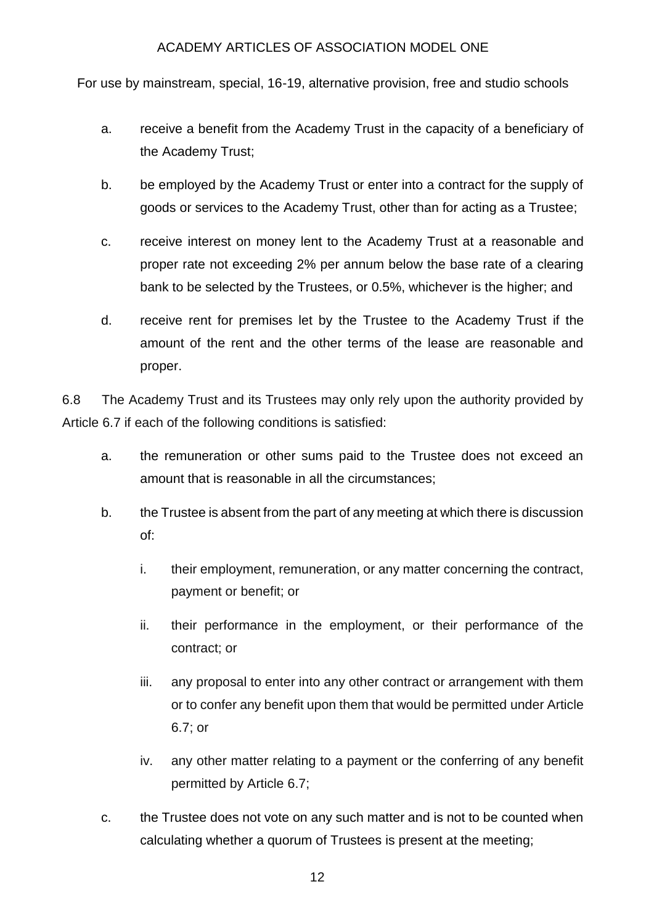For use by mainstream, special, 16-19, alternative provision, free and studio schools

- a. receive a benefit from the Academy Trust in the capacity of a beneficiary of the Academy Trust;
- b. be employed by the Academy Trust or enter into a contract for the supply of goods or services to the Academy Trust, other than for acting as a Trustee;
- c. receive interest on money lent to the Academy Trust at a reasonable and proper rate not exceeding 2% per annum below the base rate of a clearing bank to be selected by the Trustees, or 0.5%, whichever is the higher; and
- d. receive rent for premises let by the Trustee to the Academy Trust if the amount of the rent and the other terms of the lease are reasonable and proper.

6.8 The Academy Trust and its Trustees may only rely upon the authority provided by Article 6.7 if each of the following conditions is satisfied:

- a. the remuneration or other sums paid to the Trustee does not exceed an amount that is reasonable in all the circumstances;
- b. the Trustee is absent from the part of any meeting at which there is discussion of:
	- i. their employment, remuneration, or any matter concerning the contract, payment or benefit; or
	- ii. their performance in the employment, or their performance of the contract; or
	- iii. any proposal to enter into any other contract or arrangement with them or to confer any benefit upon them that would be permitted under Article 6.7; or
	- iv. any other matter relating to a payment or the conferring of any benefit permitted by Article 6.7;
- c. the Trustee does not vote on any such matter and is not to be counted when calculating whether a quorum of Trustees is present at the meeting;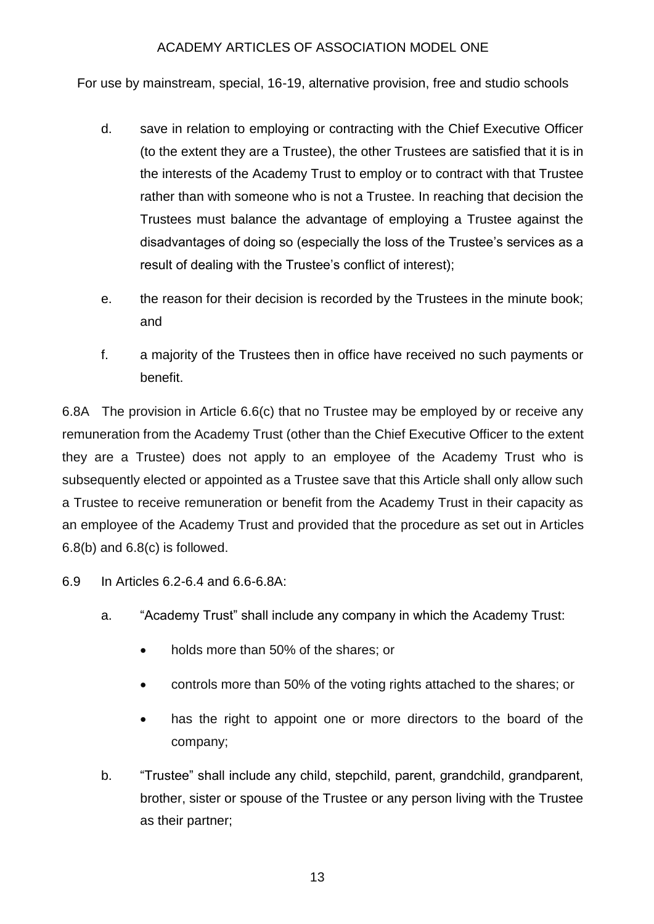For use by mainstream, special, 16-19, alternative provision, free and studio schools

- d. save in relation to employing or contracting with the Chief Executive Officer (to the extent they are a Trustee), the other Trustees are satisfied that it is in the interests of the Academy Trust to employ or to contract with that Trustee rather than with someone who is not a Trustee. In reaching that decision the Trustees must balance the advantage of employing a Trustee against the disadvantages of doing so (especially the loss of the Trustee's services as a result of dealing with the Trustee's conflict of interest);
- e. the reason for their decision is recorded by the Trustees in the minute book; and
- f. a majority of the Trustees then in office have received no such payments or benefit.

6.8A The provision in Article 6.6(c) that no Trustee may be employed by or receive any remuneration from the Academy Trust (other than the Chief Executive Officer to the extent they are a Trustee) does not apply to an employee of the Academy Trust who is subsequently elected or appointed as a Trustee save that this Article shall only allow such a Trustee to receive remuneration or benefit from the Academy Trust in their capacity as an employee of the Academy Trust and provided that the procedure as set out in Articles 6.8(b) and 6.8(c) is followed.

- 6.9 In Articles 6.2-6.4 and 6.6-6.8A:
	- a. "Academy Trust" shall include any company in which the Academy Trust:
		- holds more than 50% of the shares; or
		- controls more than 50% of the voting rights attached to the shares; or
		- has the right to appoint one or more directors to the board of the company;
	- b. "Trustee" shall include any child, stepchild, parent, grandchild, grandparent, brother, sister or spouse of the Trustee or any person living with the Trustee as their partner;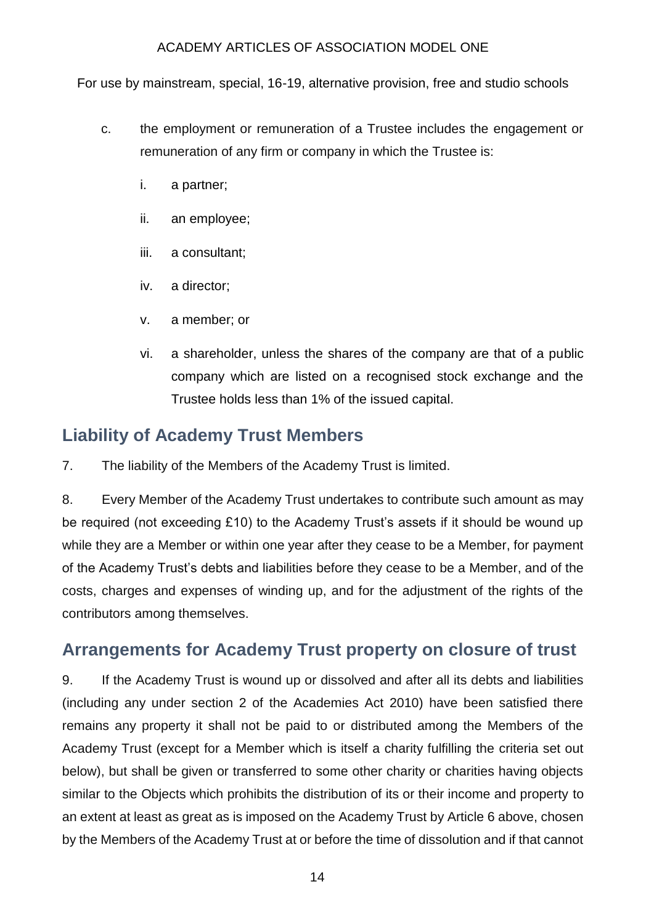For use by mainstream, special, 16-19, alternative provision, free and studio schools

- c. the employment or remuneration of a Trustee includes the engagement or remuneration of any firm or company in which the Trustee is:
	- i. a partner;
	- ii. an employee;
	- iii. a consultant;
	- iv. a director;
	- v. a member; or
	- vi. a shareholder, unless the shares of the company are that of a public company which are listed on a recognised stock exchange and the Trustee holds less than 1% of the issued capital.

## **Liability of Academy Trust Members**

7. The liability of the Members of the Academy Trust is limited.

8. Every Member of the Academy Trust undertakes to contribute such amount as may be required (not exceeding £10) to the Academy Trust's assets if it should be wound up while they are a Member or within one year after they cease to be a Member, for payment of the Academy Trust's debts and liabilities before they cease to be a Member, and of the costs, charges and expenses of winding up, and for the adjustment of the rights of the contributors among themselves.

## **Arrangements for Academy Trust property on closure of trust**

9. If the Academy Trust is wound up or dissolved and after all its debts and liabilities (including any under section 2 of the Academies Act 2010) have been satisfied there remains any property it shall not be paid to or distributed among the Members of the Academy Trust (except for a Member which is itself a charity fulfilling the criteria set out below), but shall be given or transferred to some other charity or charities having objects similar to the Objects which prohibits the distribution of its or their income and property to an extent at least as great as is imposed on the Academy Trust by Article 6 above, chosen by the Members of the Academy Trust at or before the time of dissolution and if that cannot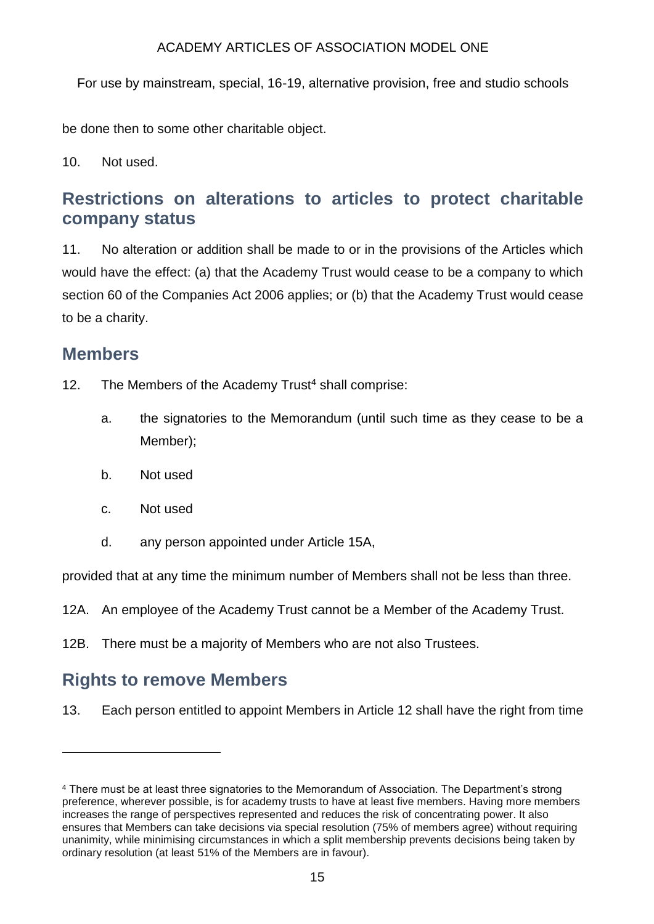For use by mainstream, special, 16-19, alternative provision, free and studio schools

be done then to some other charitable object.

10. Not used.

## **Restrictions on alterations to articles to protect charitable company status**

11. No alteration or addition shall be made to or in the provisions of the Articles which would have the effect: (a) that the Academy Trust would cease to be a company to which section 60 of the Companies Act 2006 applies; or (b) that the Academy Trust would cease to be a charity.

### **Members**

 $\overline{a}$ 

- 12. The Members of the Academy Trust<sup>4</sup> shall comprise:
	- a. the signatories to the Memorandum (until such time as they cease to be a Member);
	- b. Not used
	- c. Not used
	- d. any person appointed under Article 15A,

provided that at any time the minimum number of Members shall not be less than three.

- 12A. An employee of the Academy Trust cannot be a Member of the Academy Trust.
- 12B. There must be a majority of Members who are not also Trustees.

## **Rights to remove Members**

13. Each person entitled to appoint Members in Article 12 shall have the right from time

<sup>4</sup> There must be at least three signatories to the Memorandum of Association. The Department's strong preference, wherever possible, is for academy trusts to have at least five members. Having more members increases the range of perspectives represented and reduces the risk of concentrating power. It also ensures that Members can take decisions via special resolution (75% of members agree) without requiring unanimity, while minimising circumstances in which a split membership prevents decisions being taken by ordinary resolution (at least 51% of the Members are in favour).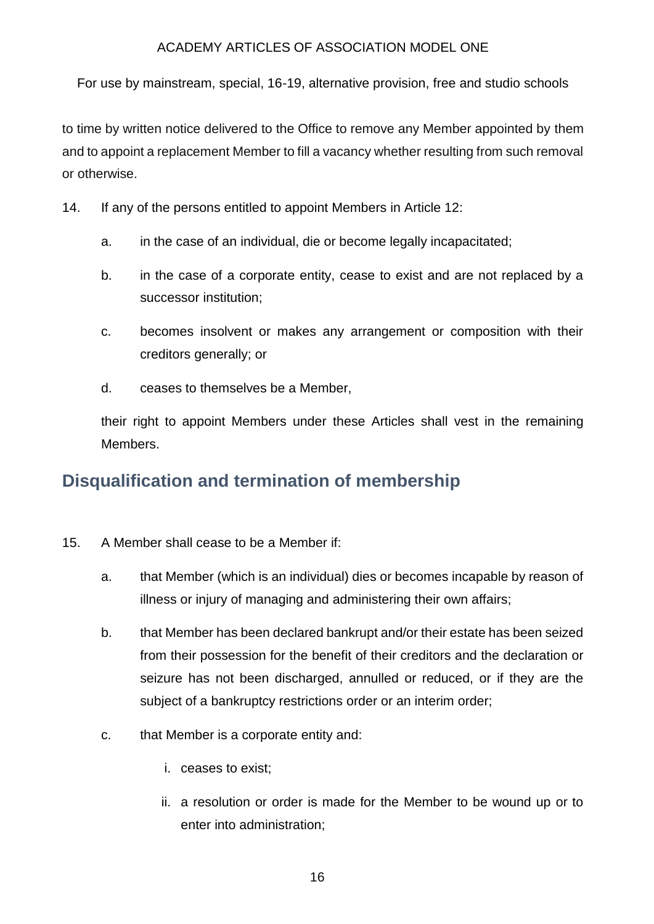For use by mainstream, special, 16-19, alternative provision, free and studio schools

to time by written notice delivered to the Office to remove any Member appointed by them and to appoint a replacement Member to fill a vacancy whether resulting from such removal or otherwise.

- 14. If any of the persons entitled to appoint Members in Article 12:
	- a. in the case of an individual, die or become legally incapacitated;
	- b. in the case of a corporate entity, cease to exist and are not replaced by a successor institution;
	- c. becomes insolvent or makes any arrangement or composition with their creditors generally; or
	- d. ceases to themselves be a Member,

their right to appoint Members under these Articles shall vest in the remaining Members.

## **Disqualification and termination of membership**

- 15. A Member shall cease to be a Member if:
	- a. that Member (which is an individual) dies or becomes incapable by reason of illness or injury of managing and administering their own affairs;
	- b. that Member has been declared bankrupt and/or their estate has been seized from their possession for the benefit of their creditors and the declaration or seizure has not been discharged, annulled or reduced, or if they are the subject of a bankruptcy restrictions order or an interim order;
	- c. that Member is a corporate entity and:
		- i. ceases to exist;
		- ii. a resolution or order is made for the Member to be wound up or to enter into administration;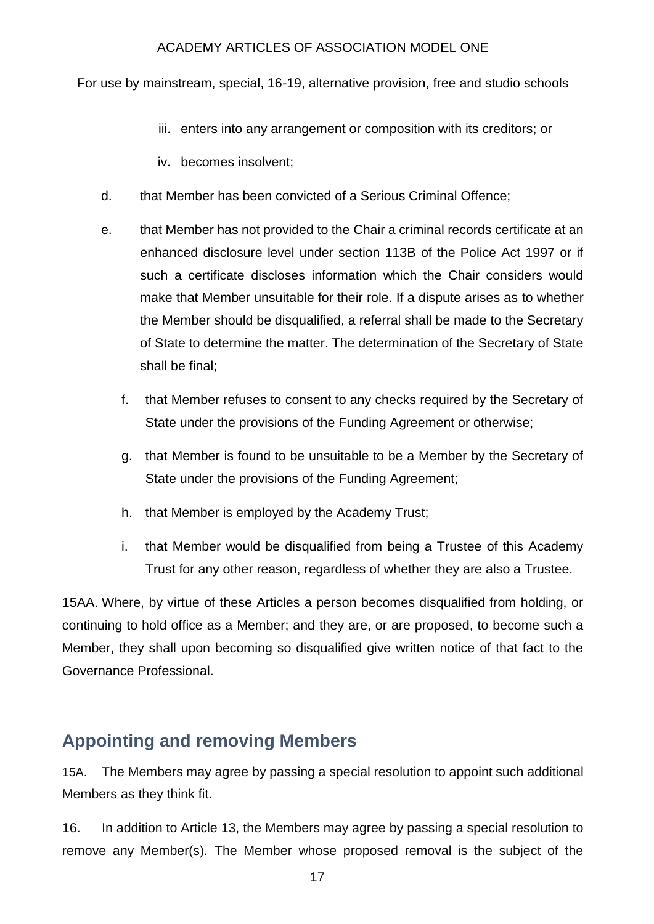For use by mainstream, special, 16-19, alternative provision, free and studio schools

- iii. enters into any arrangement or composition with its creditors; or
- iv. becomes insolvent;
- d. that Member has been convicted of a Serious Criminal Offence;
- e. that Member has not provided to the Chair a criminal records certificate at an enhanced disclosure level under section 113B of the Police Act 1997 or if such a certificate discloses information which the Chair considers would make that Member unsuitable for their role. If a dispute arises as to whether the Member should be disqualified, a referral shall be made to the Secretary of State to determine the matter. The determination of the Secretary of State shall be final;
	- f. that Member refuses to consent to any checks required by the Secretary of State under the provisions of the Funding Agreement or otherwise;
	- g. that Member is found to be unsuitable to be a Member by the Secretary of State under the provisions of the Funding Agreement;
	- h. that Member is employed by the Academy Trust;
	- i. that Member would be disqualified from being a Trustee of this Academy Trust for any other reason, regardless of whether they are also a Trustee.

15AA. Where, by virtue of these Articles a person becomes disqualified from holding, or continuing to hold office as a Member; and they are, or are proposed, to become such a Member, they shall upon becoming so disqualified give written notice of that fact to the Governance Professional.

### **Appointing and removing Members**

15A. The Members may agree by passing a special resolution to appoint such additional Members as they think fit.

16. In addition to Article 13, the Members may agree by passing a special resolution to remove any Member(s). The Member whose proposed removal is the subject of the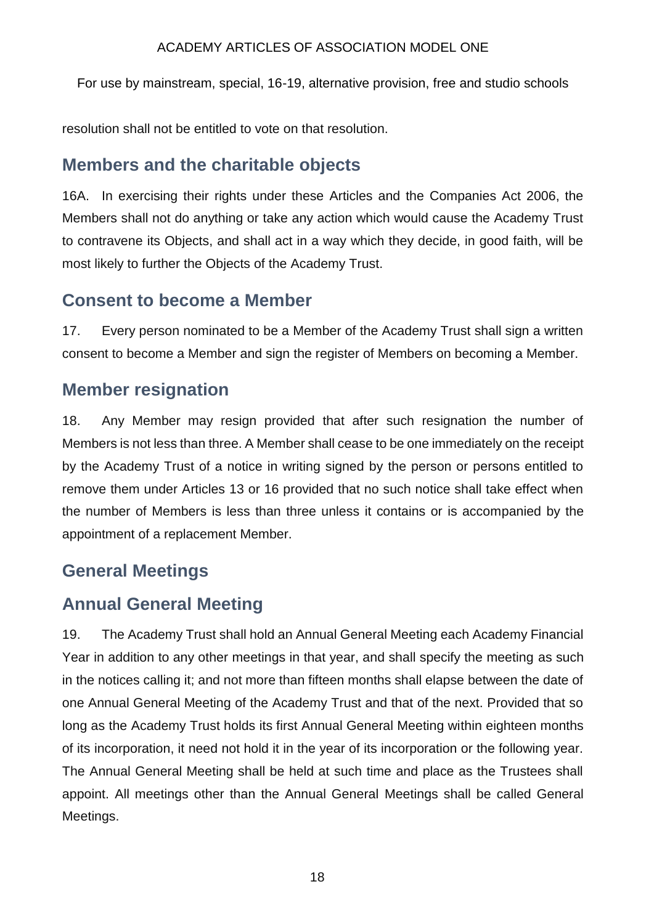For use by mainstream, special, 16-19, alternative provision, free and studio schools

resolution shall not be entitled to vote on that resolution.

# **Members and the charitable objects**

16A. In exercising their rights under these Articles and the Companies Act 2006, the Members shall not do anything or take any action which would cause the Academy Trust to contravene its Objects, and shall act in a way which they decide, in good faith, will be most likely to further the Objects of the Academy Trust.

## **Consent to become a Member**

17. Every person nominated to be a Member of the Academy Trust shall sign a written consent to become a Member and sign the register of Members on becoming a Member.

# **Member resignation**

18. Any Member may resign provided that after such resignation the number of Members is not less than three. A Member shall cease to be one immediately on the receipt by the Academy Trust of a notice in writing signed by the person or persons entitled to remove them under Articles 13 or 16 provided that no such notice shall take effect when the number of Members is less than three unless it contains or is accompanied by the appointment of a replacement Member.

# **General Meetings**

# **Annual General Meeting**

19. The Academy Trust shall hold an Annual General Meeting each Academy Financial Year in addition to any other meetings in that year, and shall specify the meeting as such in the notices calling it; and not more than fifteen months shall elapse between the date of one Annual General Meeting of the Academy Trust and that of the next. Provided that so long as the Academy Trust holds its first Annual General Meeting within eighteen months of its incorporation, it need not hold it in the year of its incorporation or the following year. The Annual General Meeting shall be held at such time and place as the Trustees shall appoint. All meetings other than the Annual General Meetings shall be called General Meetings.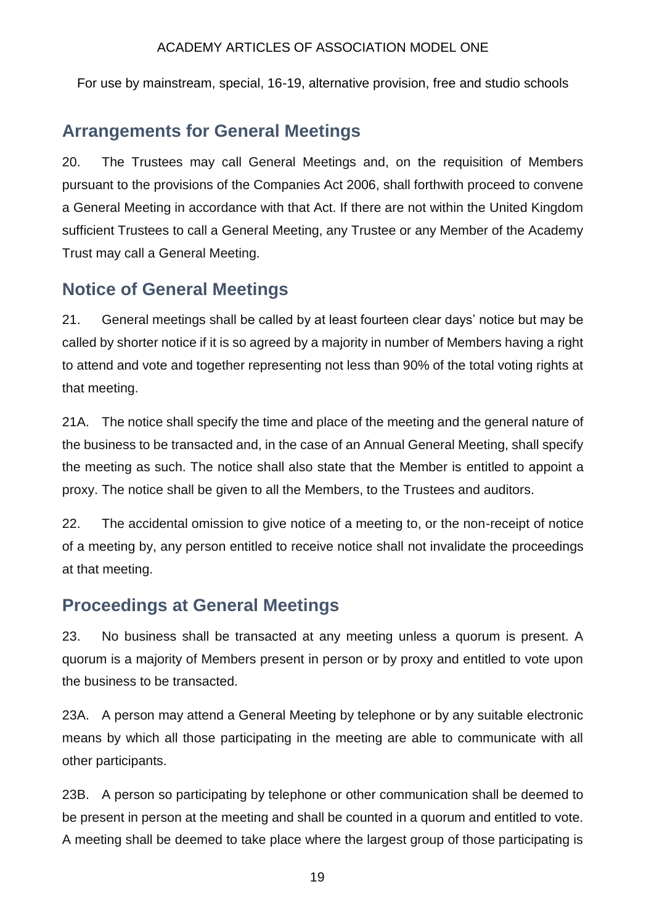For use by mainstream, special, 16-19, alternative provision, free and studio schools

## **Arrangements for General Meetings**

20. The Trustees may call General Meetings and, on the requisition of Members pursuant to the provisions of the Companies Act 2006, shall forthwith proceed to convene a General Meeting in accordance with that Act. If there are not within the United Kingdom sufficient Trustees to call a General Meeting, any Trustee or any Member of the Academy Trust may call a General Meeting.

## **Notice of General Meetings**

21. General meetings shall be called by at least fourteen clear days' notice but may be called by shorter notice if it is so agreed by a majority in number of Members having a right to attend and vote and together representing not less than 90% of the total voting rights at that meeting.

21A. The notice shall specify the time and place of the meeting and the general nature of the business to be transacted and, in the case of an Annual General Meeting, shall specify the meeting as such. The notice shall also state that the Member is entitled to appoint a proxy. The notice shall be given to all the Members, to the Trustees and auditors.

22. The accidental omission to give notice of a meeting to, or the non-receipt of notice of a meeting by, any person entitled to receive notice shall not invalidate the proceedings at that meeting.

## **Proceedings at General Meetings**

23. No business shall be transacted at any meeting unless a quorum is present. A quorum is a majority of Members present in person or by proxy and entitled to vote upon the business to be transacted.

23A. A person may attend a General Meeting by telephone or by any suitable electronic means by which all those participating in the meeting are able to communicate with all other participants.

23B. A person so participating by telephone or other communication shall be deemed to be present in person at the meeting and shall be counted in a quorum and entitled to vote. A meeting shall be deemed to take place where the largest group of those participating is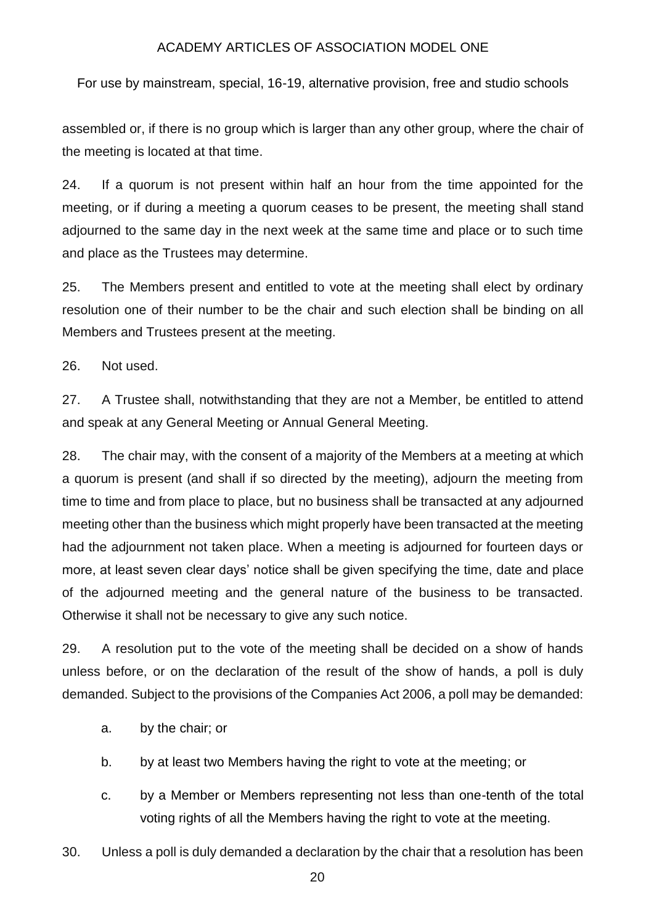For use by mainstream, special, 16-19, alternative provision, free and studio schools

assembled or, if there is no group which is larger than any other group, where the chair of the meeting is located at that time.

24. If a quorum is not present within half an hour from the time appointed for the meeting, or if during a meeting a quorum ceases to be present, the meeting shall stand adjourned to the same day in the next week at the same time and place or to such time and place as the Trustees may determine.

25. The Members present and entitled to vote at the meeting shall elect by ordinary resolution one of their number to be the chair and such election shall be binding on all Members and Trustees present at the meeting.

26. Not used.

27. A Trustee shall, notwithstanding that they are not a Member, be entitled to attend and speak at any General Meeting or Annual General Meeting.

28. The chair may, with the consent of a majority of the Members at a meeting at which a quorum is present (and shall if so directed by the meeting), adjourn the meeting from time to time and from place to place, but no business shall be transacted at any adjourned meeting other than the business which might properly have been transacted at the meeting had the adjournment not taken place. When a meeting is adjourned for fourteen days or more, at least seven clear days' notice shall be given specifying the time, date and place of the adjourned meeting and the general nature of the business to be transacted. Otherwise it shall not be necessary to give any such notice.

29. A resolution put to the vote of the meeting shall be decided on a show of hands unless before, or on the declaration of the result of the show of hands, a poll is duly demanded. Subject to the provisions of the Companies Act 2006, a poll may be demanded:

- a. by the chair; or
- b. by at least two Members having the right to vote at the meeting; or
- c. by a Member or Members representing not less than one-tenth of the total voting rights of all the Members having the right to vote at the meeting.
- 30. Unless a poll is duly demanded a declaration by the chair that a resolution has been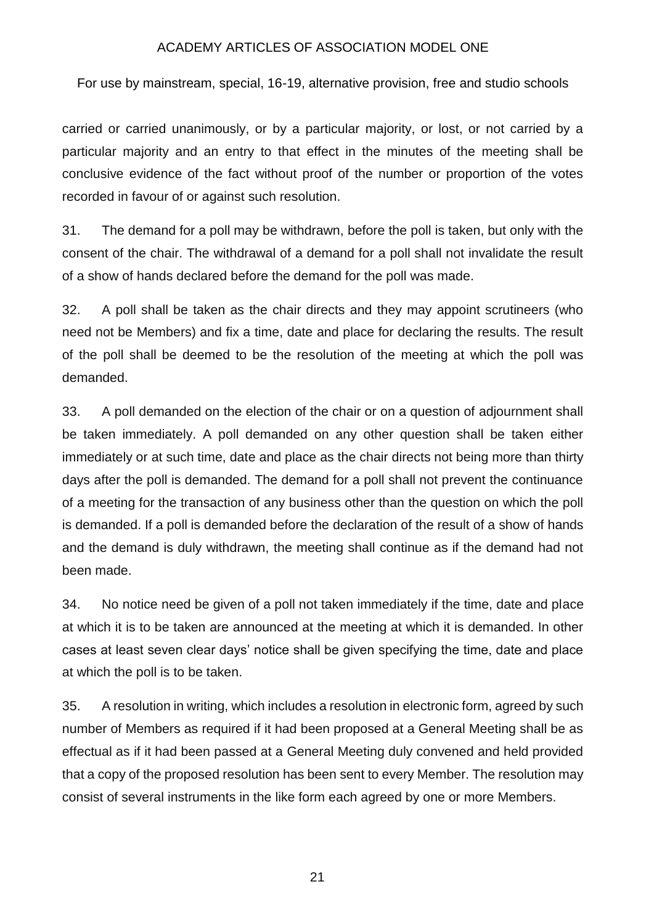For use by mainstream, special, 16-19, alternative provision, free and studio schools

carried or carried unanimously, or by a particular majority, or lost, or not carried by a particular majority and an entry to that effect in the minutes of the meeting shall be conclusive evidence of the fact without proof of the number or proportion of the votes recorded in favour of or against such resolution.

31. The demand for a poll may be withdrawn, before the poll is taken, but only with the consent of the chair. The withdrawal of a demand for a poll shall not invalidate the result of a show of hands declared before the demand for the poll was made.

32. A poll shall be taken as the chair directs and they may appoint scrutineers (who need not be Members) and fix a time, date and place for declaring the results. The result of the poll shall be deemed to be the resolution of the meeting at which the poll was demanded.

33. A poll demanded on the election of the chair or on a question of adjournment shall be taken immediately. A poll demanded on any other question shall be taken either immediately or at such time, date and place as the chair directs not being more than thirty days after the poll is demanded. The demand for a poll shall not prevent the continuance of a meeting for the transaction of any business other than the question on which the poll is demanded. If a poll is demanded before the declaration of the result of a show of hands and the demand is duly withdrawn, the meeting shall continue as if the demand had not been made.

34. No notice need be given of a poll not taken immediately if the time, date and place at which it is to be taken are announced at the meeting at which it is demanded. In other cases at least seven clear days' notice shall be given specifying the time, date and place at which the poll is to be taken.

35. A resolution in writing, which includes a resolution in electronic form, agreed by such number of Members as required if it had been proposed at a General Meeting shall be as effectual as if it had been passed at a General Meeting duly convened and held provided that a copy of the proposed resolution has been sent to every Member. The resolution may consist of several instruments in the like form each agreed by one or more Members.

21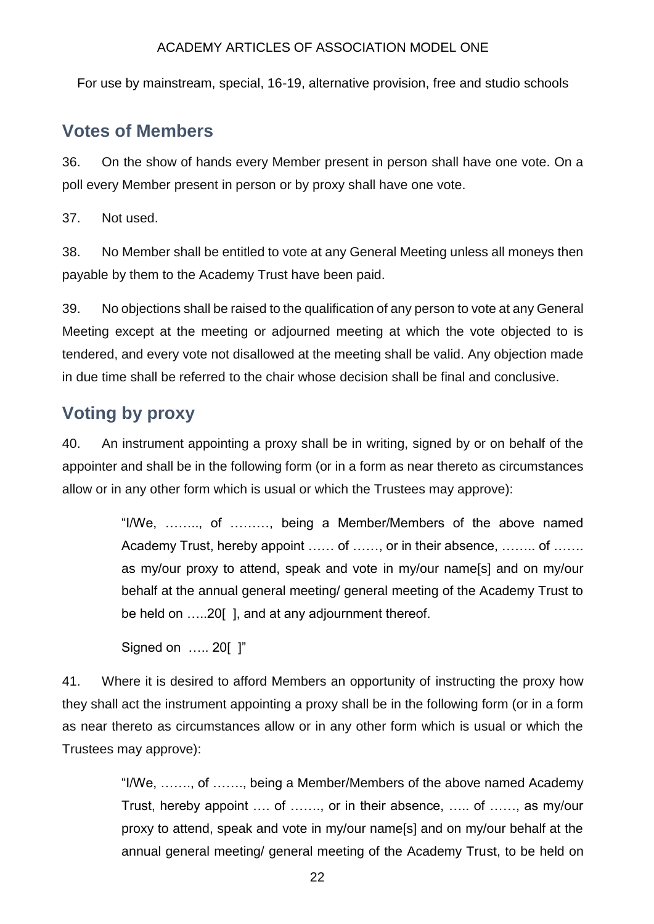For use by mainstream, special, 16-19, alternative provision, free and studio schools

### **Votes of Members**

36. On the show of hands every Member present in person shall have one vote. On a poll every Member present in person or by proxy shall have one vote.

37. Not used.

38. No Member shall be entitled to vote at any General Meeting unless all moneys then payable by them to the Academy Trust have been paid.

39. No objections shall be raised to the qualification of any person to vote at any General Meeting except at the meeting or adjourned meeting at which the vote objected to is tendered, and every vote not disallowed at the meeting shall be valid. Any objection made in due time shall be referred to the chair whose decision shall be final and conclusive.

# **Voting by proxy**

40. An instrument appointing a proxy shall be in writing, signed by or on behalf of the appointer and shall be in the following form (or in a form as near thereto as circumstances allow or in any other form which is usual or which the Trustees may approve):

> "I/We, …….., of ………, being a Member/Members of the above named Academy Trust, hereby appoint …… of ……, or in their absence, …….. of ……. as my/our proxy to attend, speak and vote in my/our name[s] and on my/our behalf at the annual general meeting/ general meeting of the Academy Trust to be held on …..20[ ], and at any adjournment thereof.

Signed on ….. 20[ ]"

41. Where it is desired to afford Members an opportunity of instructing the proxy how they shall act the instrument appointing a proxy shall be in the following form (or in a form as near thereto as circumstances allow or in any other form which is usual or which the Trustees may approve):

> "I/We, ……., of ……., being a Member/Members of the above named Academy Trust, hereby appoint …. of ……., or in their absence, ….. of ……, as my/our proxy to attend, speak and vote in my/our name[s] and on my/our behalf at the annual general meeting/ general meeting of the Academy Trust, to be held on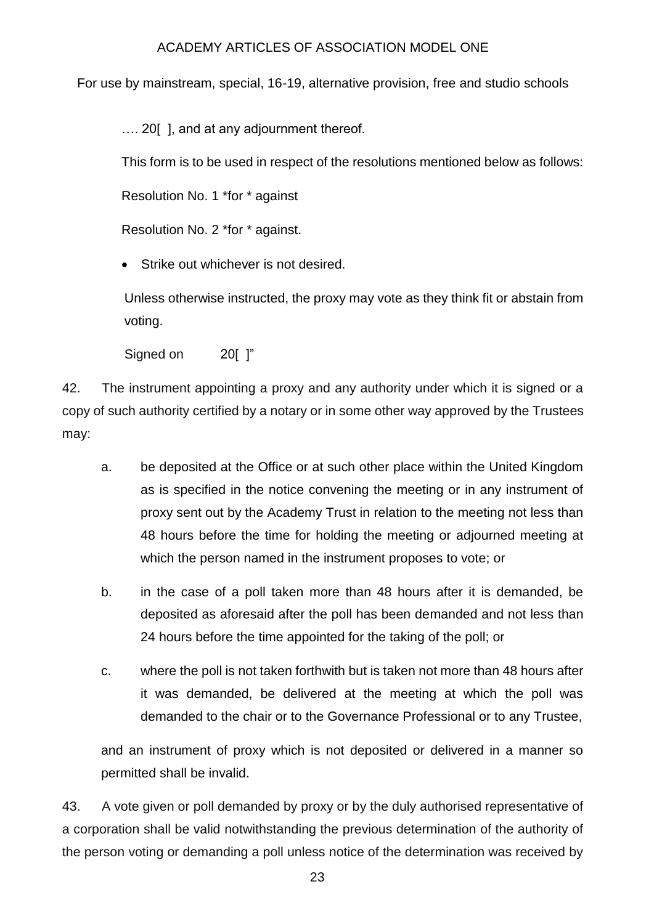For use by mainstream, special, 16-19, alternative provision, free and studio schools

.... 20 [], and at any adjournment thereof.

This form is to be used in respect of the resolutions mentioned below as follows:

Resolution No. 1 \*for \* against

Resolution No. 2 \*for \* against.

• Strike out whichever is not desired.

Unless otherwise instructed, the proxy may vote as they think fit or abstain from voting.

Signed on 20[ ]"

42. The instrument appointing a proxy and any authority under which it is signed or a copy of such authority certified by a notary or in some other way approved by the Trustees may:

- a. be deposited at the Office or at such other place within the United Kingdom as is specified in the notice convening the meeting or in any instrument of proxy sent out by the Academy Trust in relation to the meeting not less than 48 hours before the time for holding the meeting or adjourned meeting at which the person named in the instrument proposes to vote; or
- b. in the case of a poll taken more than 48 hours after it is demanded, be deposited as aforesaid after the poll has been demanded and not less than 24 hours before the time appointed for the taking of the poll; or
- c. where the poll is not taken forthwith but is taken not more than 48 hours after it was demanded, be delivered at the meeting at which the poll was demanded to the chair or to the Governance Professional or to any Trustee,

and an instrument of proxy which is not deposited or delivered in a manner so permitted shall be invalid.

43. A vote given or poll demanded by proxy or by the duly authorised representative of a corporation shall be valid notwithstanding the previous determination of the authority of the person voting or demanding a poll unless notice of the determination was received by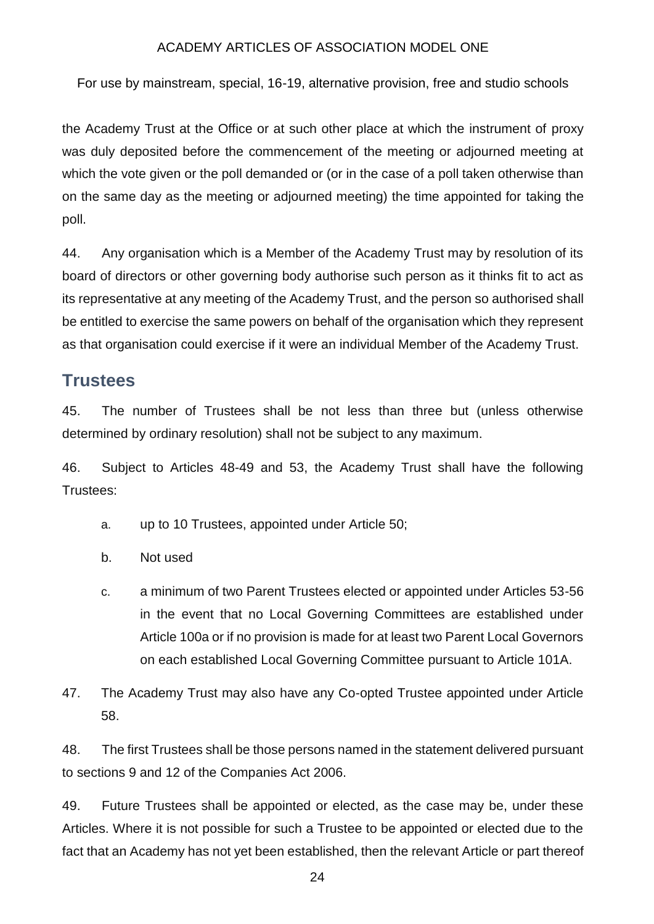For use by mainstream, special, 16-19, alternative provision, free and studio schools

the Academy Trust at the Office or at such other place at which the instrument of proxy was duly deposited before the commencement of the meeting or adjourned meeting at which the vote given or the poll demanded or (or in the case of a poll taken otherwise than on the same day as the meeting or adjourned meeting) the time appointed for taking the poll.

44. Any organisation which is a Member of the Academy Trust may by resolution of its board of directors or other governing body authorise such person as it thinks fit to act as its representative at any meeting of the Academy Trust, and the person so authorised shall be entitled to exercise the same powers on behalf of the organisation which they represent as that organisation could exercise if it were an individual Member of the Academy Trust.

## **Trustees**

45. The number of Trustees shall be not less than three but (unless otherwise determined by ordinary resolution) shall not be subject to any maximum.

46. Subject to Articles 48-49 and 53, the Academy Trust shall have the following Trustees:

- a. up to 10 Trustees, appointed under Article 50;
- b. Not used
- c. a minimum of two Parent Trustees elected or appointed under Articles 53-56 in the event that no Local Governing Committees are established under Article 100a or if no provision is made for at least two Parent Local Governors on each established Local Governing Committee pursuant to Article 101A.
- 47. The Academy Trust may also have any Co-opted Trustee appointed under Article 58.

48. The first Trustees shall be those persons named in the statement delivered pursuant to sections 9 and 12 of the Companies Act 2006.

49. Future Trustees shall be appointed or elected, as the case may be, under these Articles. Where it is not possible for such a Trustee to be appointed or elected due to the fact that an Academy has not yet been established, then the relevant Article or part thereof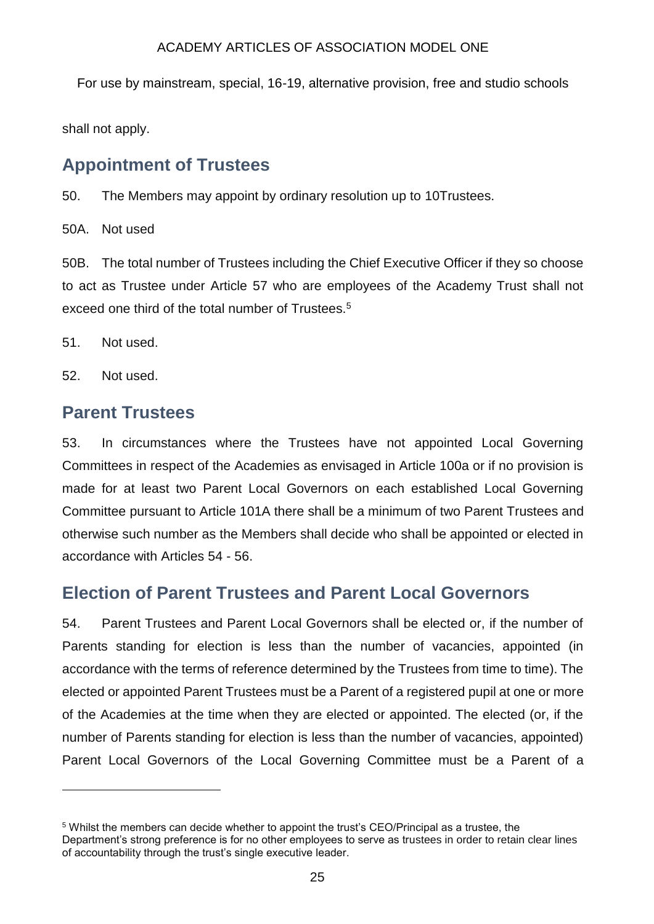For use by mainstream, special, 16-19, alternative provision, free and studio schools

shall not apply.

### **Appointment of Trustees**

50. The Members may appoint by ordinary resolution up to 10Trustees.

50A. Not used

50B. The total number of Trustees including the Chief Executive Officer if they so choose to act as Trustee under Article 57 who are employees of the Academy Trust shall not exceed one third of the total number of Trustees.<sup>5</sup>

51. Not used.

52. Not used.

1

### **Parent Trustees**

53. In circumstances where the Trustees have not appointed Local Governing Committees in respect of the Academies as envisaged in Article 100a or if no provision is made for at least two Parent Local Governors on each established Local Governing Committee pursuant to Article 101A there shall be a minimum of two Parent Trustees and otherwise such number as the Members shall decide who shall be appointed or elected in accordance with Articles 54 - 56.

## **Election of Parent Trustees and Parent Local Governors**

54. Parent Trustees and Parent Local Governors shall be elected or, if the number of Parents standing for election is less than the number of vacancies, appointed (in accordance with the terms of reference determined by the Trustees from time to time). The elected or appointed Parent Trustees must be a Parent of a registered pupil at one or more of the Academies at the time when they are elected or appointed. The elected (or, if the number of Parents standing for election is less than the number of vacancies, appointed) Parent Local Governors of the Local Governing Committee must be a Parent of a

<sup>5</sup> Whilst the members can decide whether to appoint the trust's CEO/Principal as a trustee, the Department's strong preference is for no other employees to serve as trustees in order to retain clear lines of accountability through the trust's single executive leader.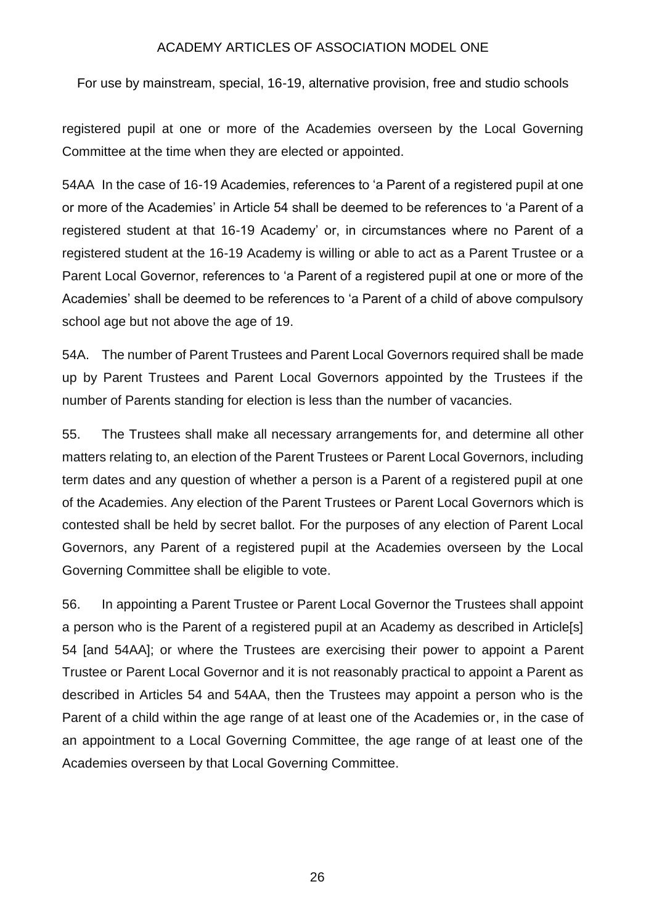For use by mainstream, special, 16-19, alternative provision, free and studio schools

registered pupil at one or more of the Academies overseen by the Local Governing Committee at the time when they are elected or appointed.

54AA In the case of 16-19 Academies, references to 'a Parent of a registered pupil at one or more of the Academies' in Article 54 shall be deemed to be references to 'a Parent of a registered student at that 16-19 Academy' or, in circumstances where no Parent of a registered student at the 16-19 Academy is willing or able to act as a Parent Trustee or a Parent Local Governor, references to 'a Parent of a registered pupil at one or more of the Academies' shall be deemed to be references to 'a Parent of a child of above compulsory school age but not above the age of 19.

54A. The number of Parent Trustees and Parent Local Governors required shall be made up by Parent Trustees and Parent Local Governors appointed by the Trustees if the number of Parents standing for election is less than the number of vacancies.

55. The Trustees shall make all necessary arrangements for, and determine all other matters relating to, an election of the Parent Trustees or Parent Local Governors, including term dates and any question of whether a person is a Parent of a registered pupil at one of the Academies. Any election of the Parent Trustees or Parent Local Governors which is contested shall be held by secret ballot. For the purposes of any election of Parent Local Governors, any Parent of a registered pupil at the Academies overseen by the Local Governing Committee shall be eligible to vote.

56. In appointing a Parent Trustee or Parent Local Governor the Trustees shall appoint a person who is the Parent of a registered pupil at an Academy as described in Article[s] 54 [and 54AA]; or where the Trustees are exercising their power to appoint a Parent Trustee or Parent Local Governor and it is not reasonably practical to appoint a Parent as described in Articles 54 and 54AA, then the Trustees may appoint a person who is the Parent of a child within the age range of at least one of the Academies or, in the case of an appointment to a Local Governing Committee, the age range of at least one of the Academies overseen by that Local Governing Committee.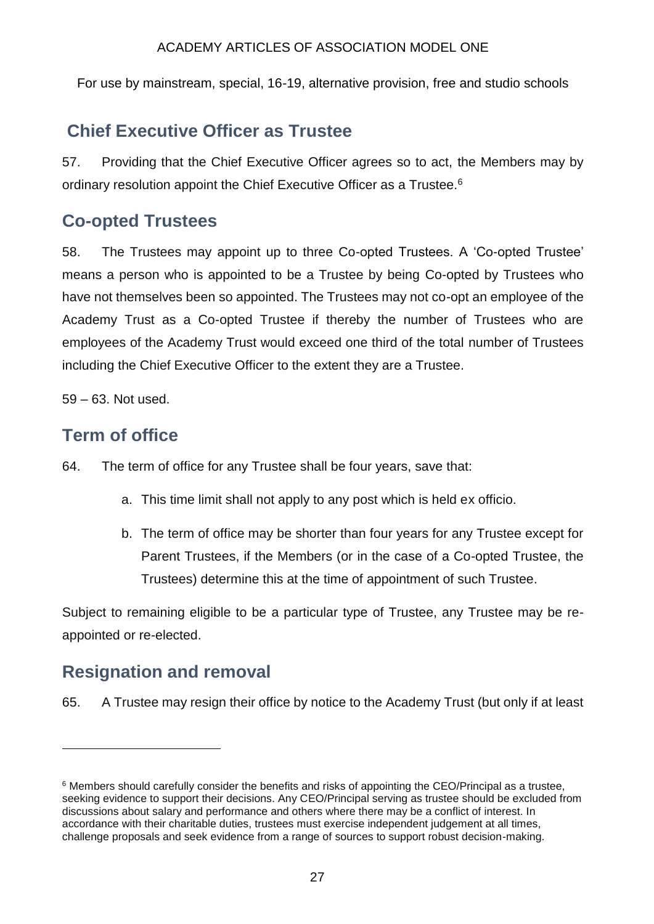For use by mainstream, special, 16-19, alternative provision, free and studio schools

## **Chief Executive Officer as Trustee**

57. Providing that the Chief Executive Officer agrees so to act, the Members may by ordinary resolution appoint the Chief Executive Officer as a Trustee.<sup>6</sup>

## **Co-opted Trustees**

58. The Trustees may appoint up to three Co-opted Trustees. A 'Co-opted Trustee' means a person who is appointed to be a Trustee by being Co-opted by Trustees who have not themselves been so appointed. The Trustees may not co-opt an employee of the Academy Trust as a Co-opted Trustee if thereby the number of Trustees who are employees of the Academy Trust would exceed one third of the total number of Trustees including the Chief Executive Officer to the extent they are a Trustee.

59 – 63. Not used.

## **Term of office**

- 64. The term of office for any Trustee shall be four years, save that:
	- a. This time limit shall not apply to any post which is held ex officio.
	- b. The term of office may be shorter than four years for any Trustee except for Parent Trustees, if the Members (or in the case of a Co-opted Trustee, the Trustees) determine this at the time of appointment of such Trustee.

Subject to remaining eligible to be a particular type of Trustee, any Trustee may be reappointed or re-elected.

## **Resignation and removal**

1

65. A Trustee may resign their office by notice to the Academy Trust (but only if at least

<sup>6</sup> Members should carefully consider the benefits and risks of appointing the CEO/Principal as a trustee, seeking evidence to support their decisions. Any CEO/Principal serving as trustee should be excluded from discussions about salary and performance and others where there may be a conflict of interest. In accordance with their charitable duties, trustees must exercise independent judgement at all times, challenge proposals and seek evidence from a range of sources to support robust decision-making.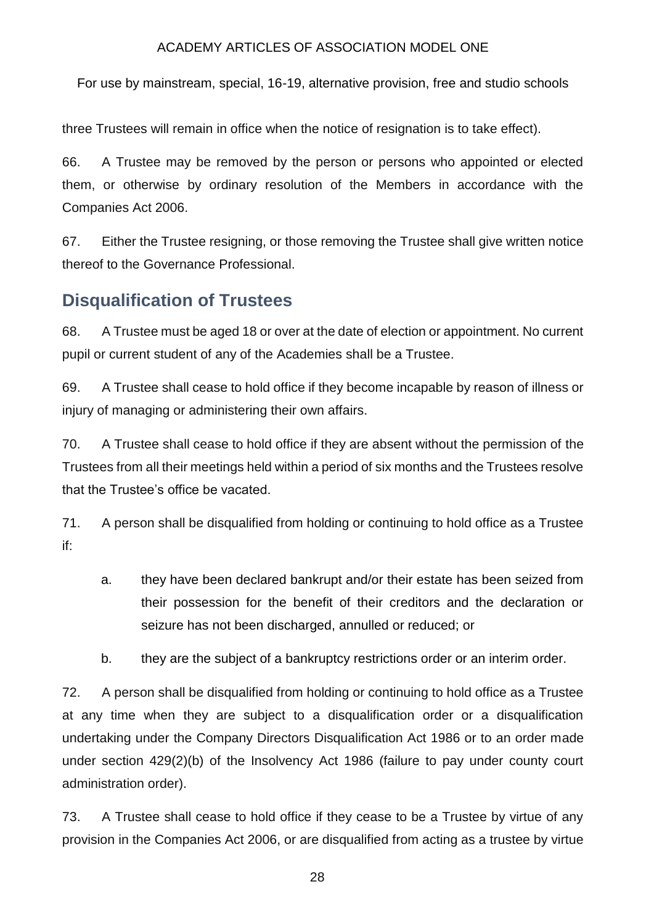For use by mainstream, special, 16-19, alternative provision, free and studio schools

three Trustees will remain in office when the notice of resignation is to take effect).

66. A Trustee may be removed by the person or persons who appointed or elected them, or otherwise by ordinary resolution of the Members in accordance with the Companies Act 2006.

67. Either the Trustee resigning, or those removing the Trustee shall give written notice thereof to the Governance Professional.

## **Disqualification of Trustees**

68. A Trustee must be aged 18 or over at the date of election or appointment. No current pupil or current student of any of the Academies shall be a Trustee.

69. A Trustee shall cease to hold office if they become incapable by reason of illness or injury of managing or administering their own affairs.

70. A Trustee shall cease to hold office if they are absent without the permission of the Trustees from all their meetings held within a period of six months and the Trustees resolve that the Trustee's office be vacated.

71. A person shall be disqualified from holding or continuing to hold office as a Trustee if:

- a. they have been declared bankrupt and/or their estate has been seized from their possession for the benefit of their creditors and the declaration or seizure has not been discharged, annulled or reduced; or
- b. they are the subject of a bankruptcy restrictions order or an interim order.

72. A person shall be disqualified from holding or continuing to hold office as a Trustee at any time when they are subject to a disqualification order or a disqualification undertaking under the Company Directors Disqualification Act 1986 or to an order made under section 429(2)(b) of the Insolvency Act 1986 (failure to pay under county court administration order).

73. A Trustee shall cease to hold office if they cease to be a Trustee by virtue of any provision in the Companies Act 2006, or are disqualified from acting as a trustee by virtue

28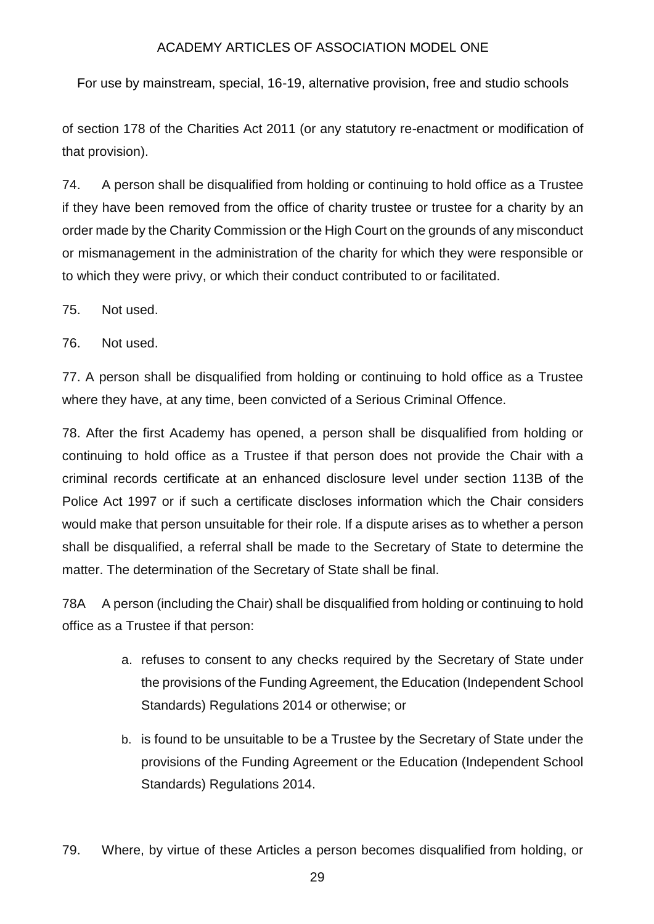For use by mainstream, special, 16-19, alternative provision, free and studio schools

of section 178 of the Charities Act 2011 (or any statutory re-enactment or modification of that provision).

74. A person shall be disqualified from holding or continuing to hold office as a Trustee if they have been removed from the office of charity trustee or trustee for a charity by an order made by the Charity Commission or the High Court on the grounds of any misconduct or mismanagement in the administration of the charity for which they were responsible or to which they were privy, or which their conduct contributed to or facilitated.

75. Not used.

76. Not used.

77. A person shall be disqualified from holding or continuing to hold office as a Trustee where they have, at any time, been convicted of a Serious Criminal Offence.

78. After the first Academy has opened, a person shall be disqualified from holding or continuing to hold office as a Trustee if that person does not provide the Chair with a criminal records certificate at an enhanced disclosure level under section 113B of the Police Act 1997 or if such a certificate discloses information which the Chair considers would make that person unsuitable for their role. If a dispute arises as to whether a person shall be disqualified, a referral shall be made to the Secretary of State to determine the matter. The determination of the Secretary of State shall be final.

78A A person (including the Chair) shall be disqualified from holding or continuing to hold office as a Trustee if that person:

- a. refuses to consent to any checks required by the Secretary of State under the provisions of the Funding Agreement, the Education (Independent School Standards) Regulations 2014 or otherwise; or
- b. is found to be unsuitable to be a Trustee by the Secretary of State under the provisions of the Funding Agreement or the Education (Independent School Standards) Regulations 2014.
- 79. Where, by virtue of these Articles a person becomes disqualified from holding, or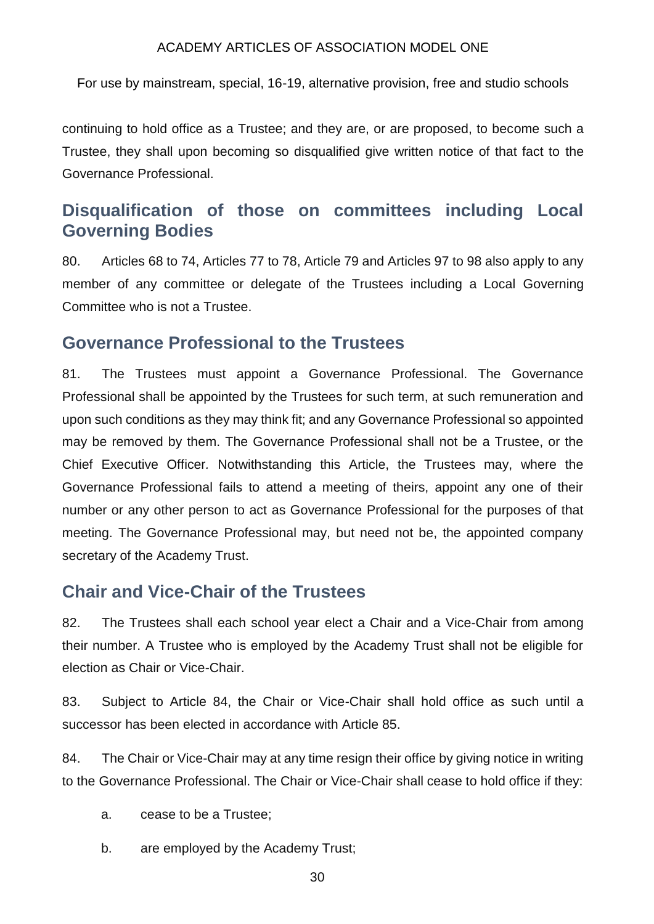For use by mainstream, special, 16-19, alternative provision, free and studio schools

continuing to hold office as a Trustee; and they are, or are proposed, to become such a Trustee, they shall upon becoming so disqualified give written notice of that fact to the Governance Professional.

## **Disqualification of those on committees including Local Governing Bodies**

80. Articles 68 to 74, Articles 77 to 78, Article 79 and Articles 97 to 98 also apply to any member of any committee or delegate of the Trustees including a Local Governing Committee who is not a Trustee.

### **Governance Professional to the Trustees**

81. The Trustees must appoint a Governance Professional. The Governance Professional shall be appointed by the Trustees for such term, at such remuneration and upon such conditions as they may think fit; and any Governance Professional so appointed may be removed by them. The Governance Professional shall not be a Trustee, or the Chief Executive Officer*.* Notwithstanding this Article, the Trustees may, where the Governance Professional fails to attend a meeting of theirs, appoint any one of their number or any other person to act as Governance Professional for the purposes of that meeting. The Governance Professional may, but need not be, the appointed company secretary of the Academy Trust.

### **Chair and Vice-Chair of the Trustees**

82. The Trustees shall each school year elect a Chair and a Vice-Chair from among their number. A Trustee who is employed by the Academy Trust shall not be eligible for election as Chair or Vice-Chair.

83. Subject to Article 84, the Chair or Vice-Chair shall hold office as such until a successor has been elected in accordance with Article 85.

84. The Chair or Vice-Chair may at any time resign their office by giving notice in writing to the Governance Professional. The Chair or Vice-Chair shall cease to hold office if they:

- a. cease to be a Trustee;
- b. are employed by the Academy Trust;
	- 30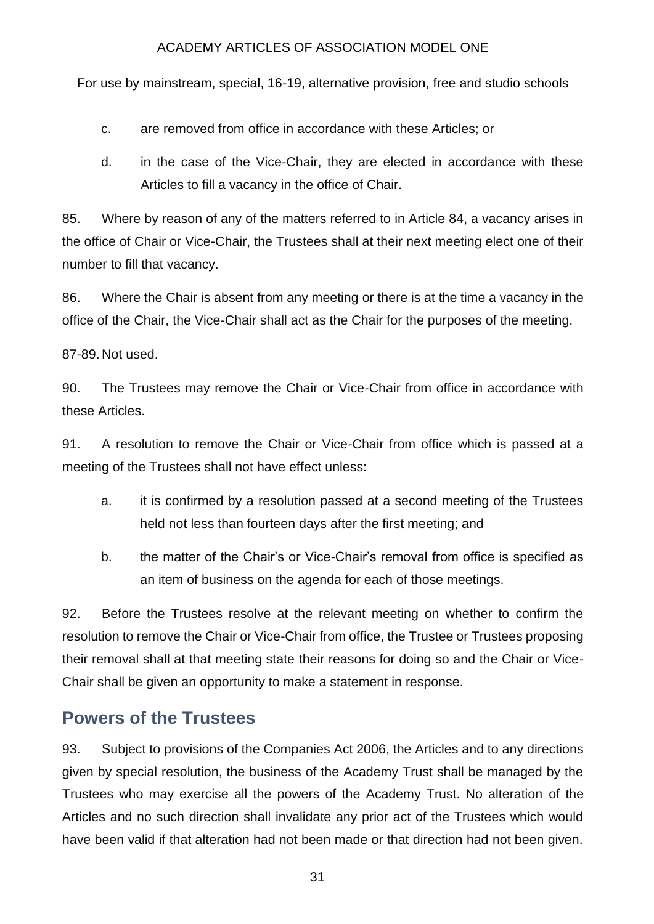For use by mainstream, special, 16-19, alternative provision, free and studio schools

c. are removed from office in accordance with these Articles; or

d. in the case of the Vice-Chair, they are elected in accordance with these Articles to fill a vacancy in the office of Chair.

85. Where by reason of any of the matters referred to in Article 84, a vacancy arises in the office of Chair or Vice-Chair, the Trustees shall at their next meeting elect one of their number to fill that vacancy.

86. Where the Chair is absent from any meeting or there is at the time a vacancy in the office of the Chair, the Vice-Chair shall act as the Chair for the purposes of the meeting.

87-89. Not used.

90. The Trustees may remove the Chair or Vice-Chair from office in accordance with these Articles.

91. A resolution to remove the Chair or Vice-Chair from office which is passed at a meeting of the Trustees shall not have effect unless:

- a. it is confirmed by a resolution passed at a second meeting of the Trustees held not less than fourteen days after the first meeting; and
- b. the matter of the Chair's or Vice-Chair's removal from office is specified as an item of business on the agenda for each of those meetings.

92. Before the Trustees resolve at the relevant meeting on whether to confirm the resolution to remove the Chair or Vice-Chair from office, the Trustee or Trustees proposing their removal shall at that meeting state their reasons for doing so and the Chair or Vice-Chair shall be given an opportunity to make a statement in response.

### **Powers of the Trustees**

93. Subject to provisions of the Companies Act 2006, the Articles and to any directions given by special resolution, the business of the Academy Trust shall be managed by the Trustees who may exercise all the powers of the Academy Trust. No alteration of the Articles and no such direction shall invalidate any prior act of the Trustees which would have been valid if that alteration had not been made or that direction had not been given.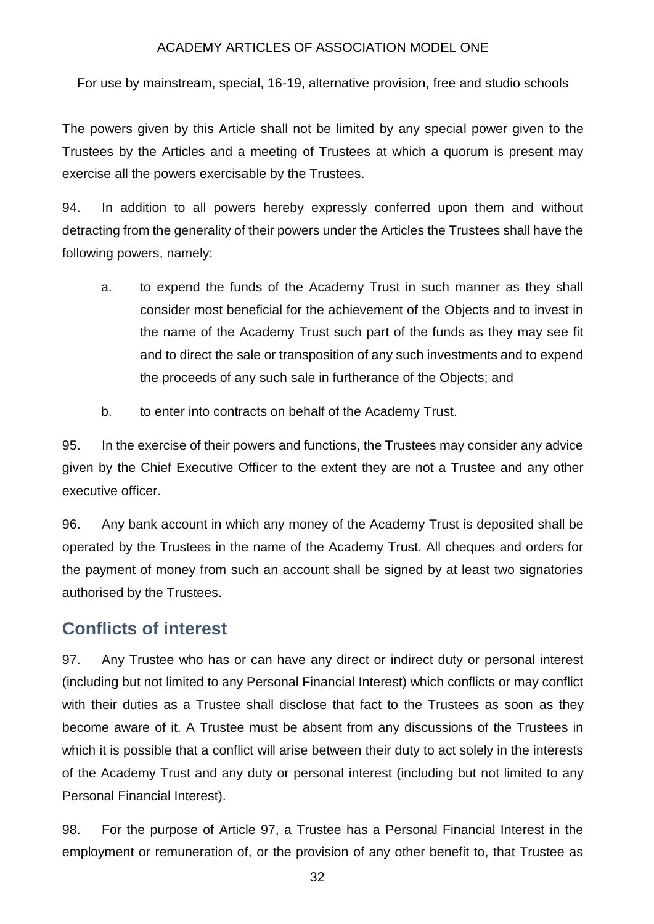For use by mainstream, special, 16-19, alternative provision, free and studio schools

The powers given by this Article shall not be limited by any special power given to the Trustees by the Articles and a meeting of Trustees at which a quorum is present may exercise all the powers exercisable by the Trustees.

94. In addition to all powers hereby expressly conferred upon them and without detracting from the generality of their powers under the Articles the Trustees shall have the following powers, namely:

- a. to expend the funds of the Academy Trust in such manner as they shall consider most beneficial for the achievement of the Objects and to invest in the name of the Academy Trust such part of the funds as they may see fit and to direct the sale or transposition of any such investments and to expend the proceeds of any such sale in furtherance of the Objects; and
- b. to enter into contracts on behalf of the Academy Trust.

95. In the exercise of their powers and functions, the Trustees may consider any advice given by the Chief Executive Officer to the extent they are not a Trustee and any other executive officer.

96. Any bank account in which any money of the Academy Trust is deposited shall be operated by the Trustees in the name of the Academy Trust. All cheques and orders for the payment of money from such an account shall be signed by at least two signatories authorised by the Trustees.

## **Conflicts of interest**

97. Any Trustee who has or can have any direct or indirect duty or personal interest (including but not limited to any Personal Financial Interest) which conflicts or may conflict with their duties as a Trustee shall disclose that fact to the Trustees as soon as they become aware of it. A Trustee must be absent from any discussions of the Trustees in which it is possible that a conflict will arise between their duty to act solely in the interests of the Academy Trust and any duty or personal interest (including but not limited to any Personal Financial Interest).

98. For the purpose of Article 97, a Trustee has a Personal Financial Interest in the employment or remuneration of, or the provision of any other benefit to, that Trustee as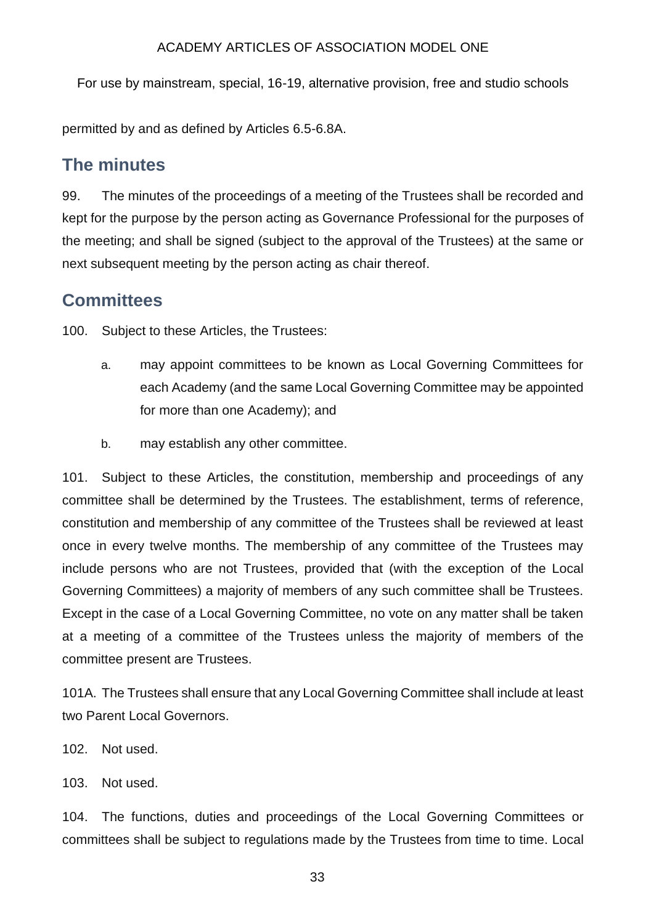For use by mainstream, special, 16-19, alternative provision, free and studio schools

permitted by and as defined by Articles 6.5-6.8A.

### **The minutes**

99. The minutes of the proceedings of a meeting of the Trustees shall be recorded and kept for the purpose by the person acting as Governance Professional for the purposes of the meeting; and shall be signed (subject to the approval of the Trustees) at the same or next subsequent meeting by the person acting as chair thereof.

### **Committees**

100. Subject to these Articles, the Trustees:

- a. may appoint committees to be known as Local Governing Committees for each Academy (and the same Local Governing Committee may be appointed for more than one Academy); and
- b. may establish any other committee.

101. Subject to these Articles, the constitution, membership and proceedings of any committee shall be determined by the Trustees. The establishment, terms of reference, constitution and membership of any committee of the Trustees shall be reviewed at least once in every twelve months. The membership of any committee of the Trustees may include persons who are not Trustees, provided that (with the exception of the Local Governing Committees) a majority of members of any such committee shall be Trustees. Except in the case of a Local Governing Committee, no vote on any matter shall be taken at a meeting of a committee of the Trustees unless the majority of members of the committee present are Trustees.

101A. The Trustees shall ensure that any Local Governing Committee shall include at least two Parent Local Governors.

- 102. Not used.
- 103. Not used.

104. The functions, duties and proceedings of the Local Governing Committees or committees shall be subject to regulations made by the Trustees from time to time. Local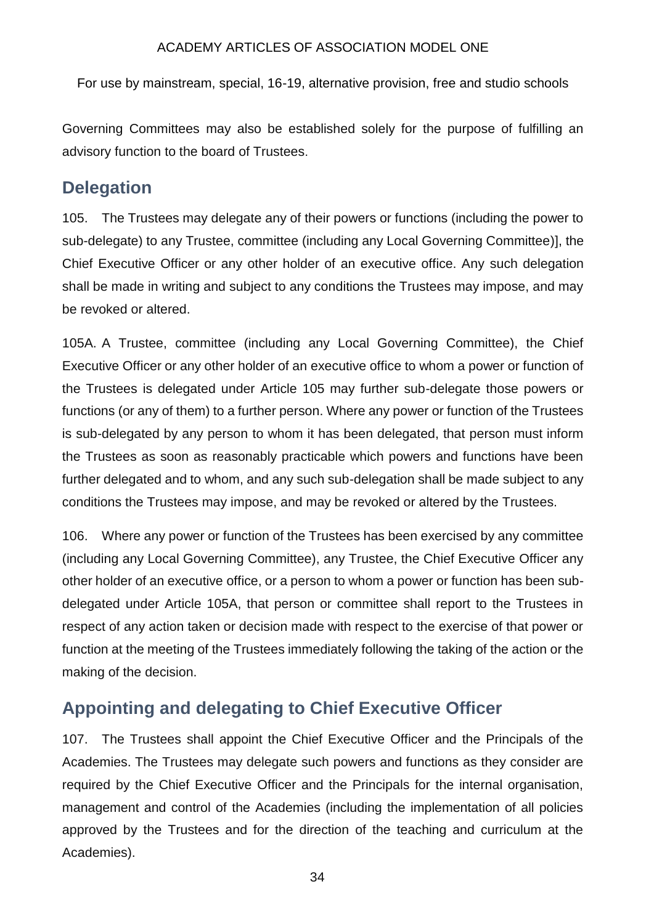For use by mainstream, special, 16-19, alternative provision, free and studio schools

Governing Committees may also be established solely for the purpose of fulfilling an advisory function to the board of Trustees.

## **Delegation**

105. The Trustees may delegate any of their powers or functions (including the power to sub-delegate) to any Trustee, committee (including any Local Governing Committee)], the Chief Executive Officer or any other holder of an executive office. Any such delegation shall be made in writing and subject to any conditions the Trustees may impose, and may be revoked or altered.

105A. A Trustee, committee (including any Local Governing Committee), the Chief Executive Officer or any other holder of an executive office to whom a power or function of the Trustees is delegated under Article 105 may further sub-delegate those powers or functions (or any of them) to a further person. Where any power or function of the Trustees is sub-delegated by any person to whom it has been delegated, that person must inform the Trustees as soon as reasonably practicable which powers and functions have been further delegated and to whom, and any such sub-delegation shall be made subject to any conditions the Trustees may impose, and may be revoked or altered by the Trustees.

106. Where any power or function of the Trustees has been exercised by any committee (including any Local Governing Committee), any Trustee, the Chief Executive Officer any other holder of an executive office, or a person to whom a power or function has been subdelegated under Article 105A, that person or committee shall report to the Trustees in respect of any action taken or decision made with respect to the exercise of that power or function at the meeting of the Trustees immediately following the taking of the action or the making of the decision.

# **Appointing and delegating to Chief Executive Officer**

107. The Trustees shall appoint the Chief Executive Officer and the Principals of the Academies. The Trustees may delegate such powers and functions as they consider are required by the Chief Executive Officer and the Principals for the internal organisation, management and control of the Academies (including the implementation of all policies approved by the Trustees and for the direction of the teaching and curriculum at the Academies).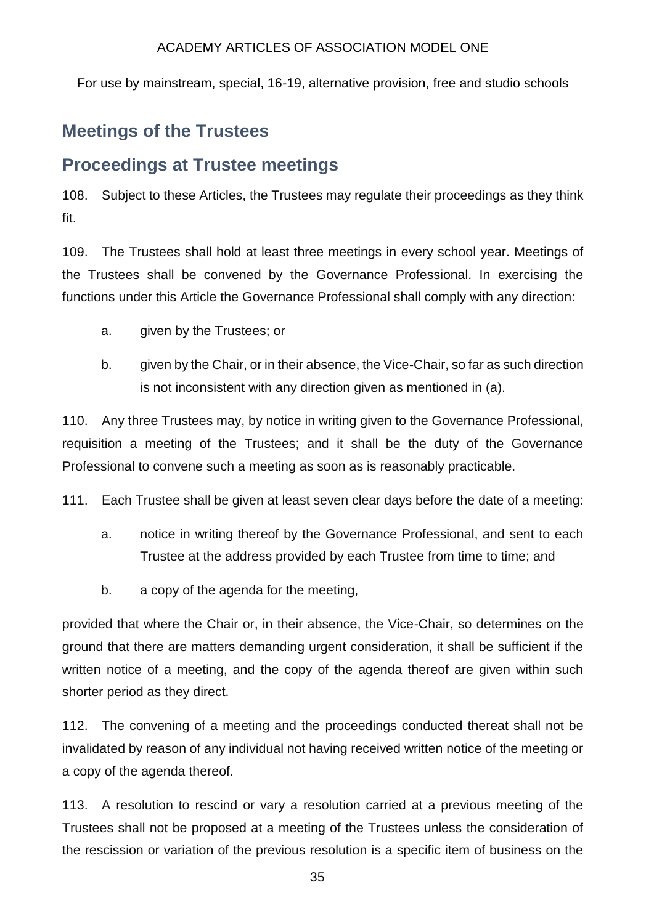For use by mainstream, special, 16-19, alternative provision, free and studio schools

## **Meetings of the Trustees**

### **Proceedings at Trustee meetings**

108. Subject to these Articles, the Trustees may regulate their proceedings as they think fit.

109. The Trustees shall hold at least three meetings in every school year. Meetings of the Trustees shall be convened by the Governance Professional. In exercising the functions under this Article the Governance Professional shall comply with any direction:

- a. given by the Trustees; or
- b. given by the Chair, or in their absence, the Vice-Chair, so far as such direction is not inconsistent with any direction given as mentioned in (a).

110. Any three Trustees may, by notice in writing given to the Governance Professional, requisition a meeting of the Trustees; and it shall be the duty of the Governance Professional to convene such a meeting as soon as is reasonably practicable.

111. Each Trustee shall be given at least seven clear days before the date of a meeting:

- a. notice in writing thereof by the Governance Professional, and sent to each Trustee at the address provided by each Trustee from time to time; and
- b. a copy of the agenda for the meeting,

provided that where the Chair or, in their absence, the Vice-Chair, so determines on the ground that there are matters demanding urgent consideration, it shall be sufficient if the written notice of a meeting, and the copy of the agenda thereof are given within such shorter period as they direct.

112. The convening of a meeting and the proceedings conducted thereat shall not be invalidated by reason of any individual not having received written notice of the meeting or a copy of the agenda thereof.

113. A resolution to rescind or vary a resolution carried at a previous meeting of the Trustees shall not be proposed at a meeting of the Trustees unless the consideration of the rescission or variation of the previous resolution is a specific item of business on the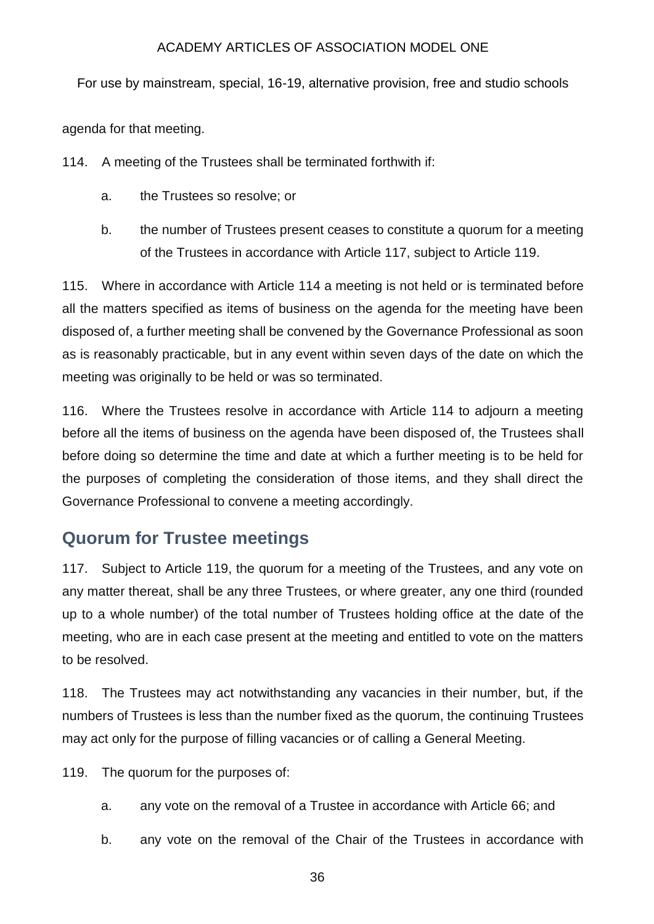For use by mainstream, special, 16-19, alternative provision, free and studio schools

agenda for that meeting.

114. A meeting of the Trustees shall be terminated forthwith if:

- a. the Trustees so resolve; or
- b. the number of Trustees present ceases to constitute a quorum for a meeting of the Trustees in accordance with Article 117, subject to Article 119.

115. Where in accordance with Article 114 a meeting is not held or is terminated before all the matters specified as items of business on the agenda for the meeting have been disposed of, a further meeting shall be convened by the Governance Professional as soon as is reasonably practicable, but in any event within seven days of the date on which the meeting was originally to be held or was so terminated.

116. Where the Trustees resolve in accordance with Article 114 to adjourn a meeting before all the items of business on the agenda have been disposed of, the Trustees shall before doing so determine the time and date at which a further meeting is to be held for the purposes of completing the consideration of those items, and they shall direct the Governance Professional to convene a meeting accordingly.

## **Quorum for Trustee meetings**

117. Subject to Article 119, the quorum for a meeting of the Trustees, and any vote on any matter thereat, shall be any three Trustees, or where greater, any one third (rounded up to a whole number) of the total number of Trustees holding office at the date of the meeting, who are in each case present at the meeting and entitled to vote on the matters to be resolved.

118. The Trustees may act notwithstanding any vacancies in their number, but, if the numbers of Trustees is less than the number fixed as the quorum, the continuing Trustees may act only for the purpose of filling vacancies or of calling a General Meeting.

119. The quorum for the purposes of:

- a. any vote on the removal of a Trustee in accordance with Article 66; and
- b. any vote on the removal of the Chair of the Trustees in accordance with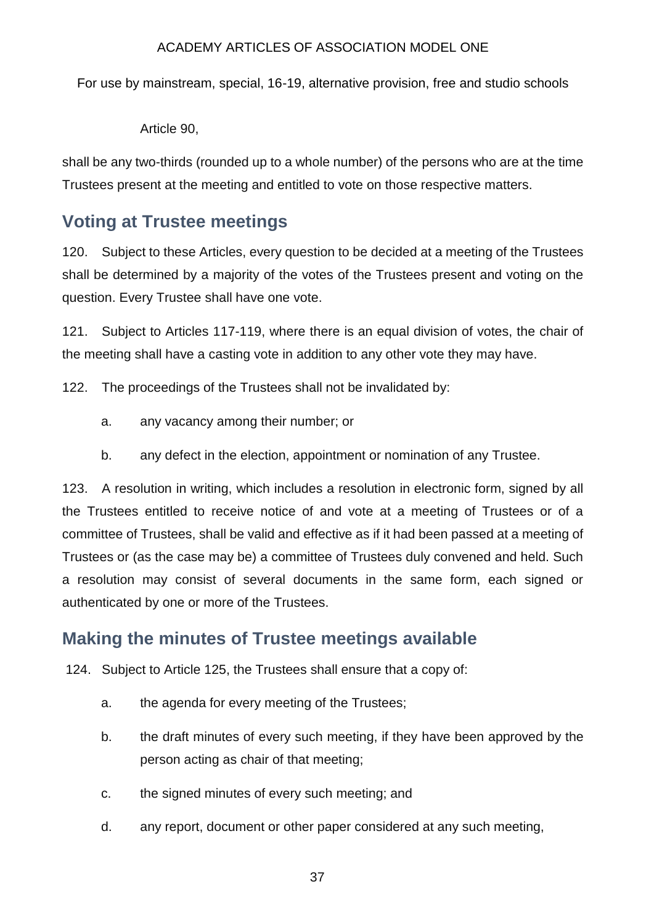For use by mainstream, special, 16-19, alternative provision, free and studio schools

#### Article 90,

shall be any two-thirds (rounded up to a whole number) of the persons who are at the time Trustees present at the meeting and entitled to vote on those respective matters.

# **Voting at Trustee meetings**

120. Subject to these Articles, every question to be decided at a meeting of the Trustees shall be determined by a majority of the votes of the Trustees present and voting on the question. Every Trustee shall have one vote.

121. Subject to Articles 117-119, where there is an equal division of votes, the chair of the meeting shall have a casting vote in addition to any other vote they may have.

122. The proceedings of the Trustees shall not be invalidated by:

- a. any vacancy among their number; or
- b. any defect in the election, appointment or nomination of any Trustee.

123. A resolution in writing, which includes a resolution in electronic form, signed by all the Trustees entitled to receive notice of and vote at a meeting of Trustees or of a committee of Trustees, shall be valid and effective as if it had been passed at a meeting of Trustees or (as the case may be) a committee of Trustees duly convened and held. Such a resolution may consist of several documents in the same form, each signed or authenticated by one or more of the Trustees.

# **Making the minutes of Trustee meetings available**

124. Subject to Article 125, the Trustees shall ensure that a copy of:

- a. the agenda for every meeting of the Trustees;
- b. the draft minutes of every such meeting, if they have been approved by the person acting as chair of that meeting;
- c. the signed minutes of every such meeting; and
- d. any report, document or other paper considered at any such meeting,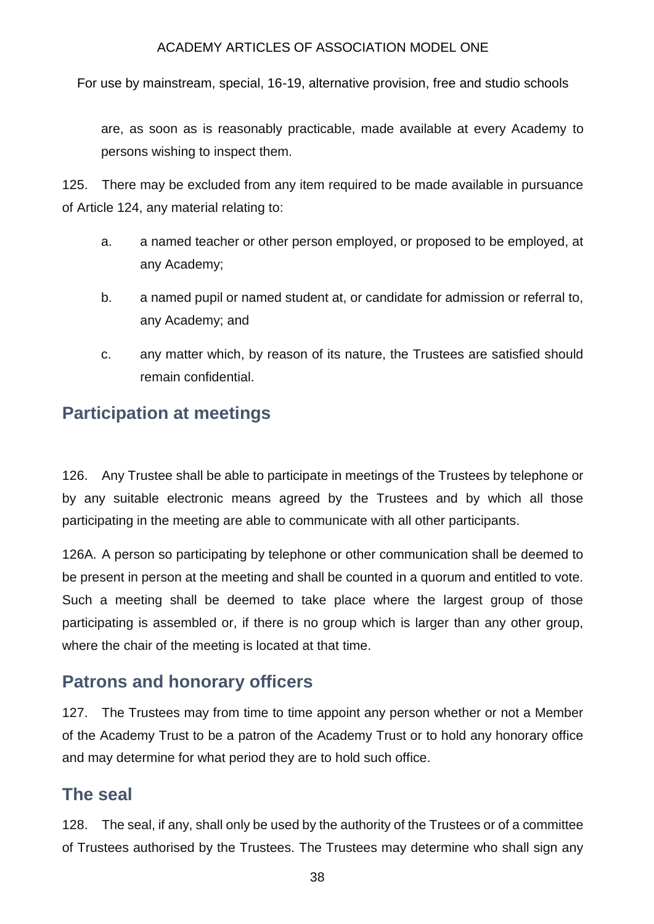For use by mainstream, special, 16-19, alternative provision, free and studio schools

are, as soon as is reasonably practicable, made available at every Academy to persons wishing to inspect them.

125. There may be excluded from any item required to be made available in pursuance of Article 124, any material relating to:

- a. a named teacher or other person employed, or proposed to be employed, at any Academy;
- b. a named pupil or named student at, or candidate for admission or referral to, any Academy; and
- c. any matter which, by reason of its nature, the Trustees are satisfied should remain confidential.

## **Participation at meetings**

126. Any Trustee shall be able to participate in meetings of the Trustees by telephone or by any suitable electronic means agreed by the Trustees and by which all those participating in the meeting are able to communicate with all other participants.

126A. A person so participating by telephone or other communication shall be deemed to be present in person at the meeting and shall be counted in a quorum and entitled to vote. Such a meeting shall be deemed to take place where the largest group of those participating is assembled or, if there is no group which is larger than any other group, where the chair of the meeting is located at that time.

# **Patrons and honorary officers**

127. The Trustees may from time to time appoint any person whether or not a Member of the Academy Trust to be a patron of the Academy Trust or to hold any honorary office and may determine for what period they are to hold such office.

## **The seal**

128. The seal, if any, shall only be used by the authority of the Trustees or of a committee of Trustees authorised by the Trustees. The Trustees may determine who shall sign any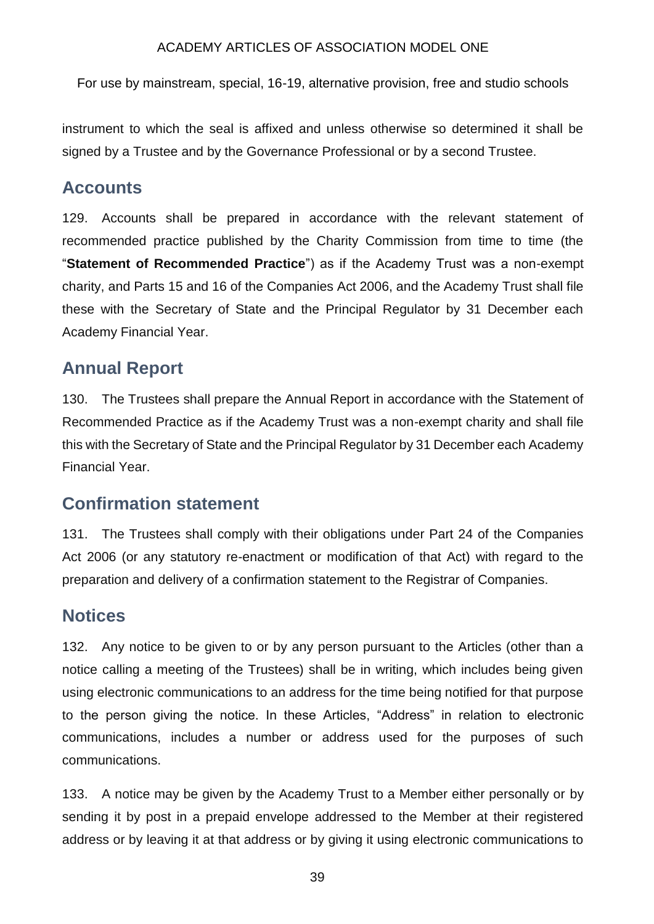For use by mainstream, special, 16-19, alternative provision, free and studio schools

instrument to which the seal is affixed and unless otherwise so determined it shall be signed by a Trustee and by the Governance Professional or by a second Trustee.

### **Accounts**

129. Accounts shall be prepared in accordance with the relevant statement of recommended practice published by the Charity Commission from time to time (the "**Statement of Recommended Practice**") as if the Academy Trust was a non-exempt charity, and Parts 15 and 16 of the Companies Act 2006, and the Academy Trust shall file these with the Secretary of State and the Principal Regulator by 31 December each Academy Financial Year.

### **Annual Report**

130. The Trustees shall prepare the Annual Report in accordance with the Statement of Recommended Practice as if the Academy Trust was a non-exempt charity and shall file this with the Secretary of State and the Principal Regulator by 31 December each Academy Financial Year.

## **Confirmation statement**

131. The Trustees shall comply with their obligations under Part 24 of the Companies Act 2006 (or any statutory re-enactment or modification of that Act) with regard to the preparation and delivery of a confirmation statement to the Registrar of Companies.

### **Notices**

132. Any notice to be given to or by any person pursuant to the Articles (other than a notice calling a meeting of the Trustees) shall be in writing, which includes being given using electronic communications to an address for the time being notified for that purpose to the person giving the notice. In these Articles, "Address" in relation to electronic communications, includes a number or address used for the purposes of such communications.

133. A notice may be given by the Academy Trust to a Member either personally or by sending it by post in a prepaid envelope addressed to the Member at their registered address or by leaving it at that address or by giving it using electronic communications to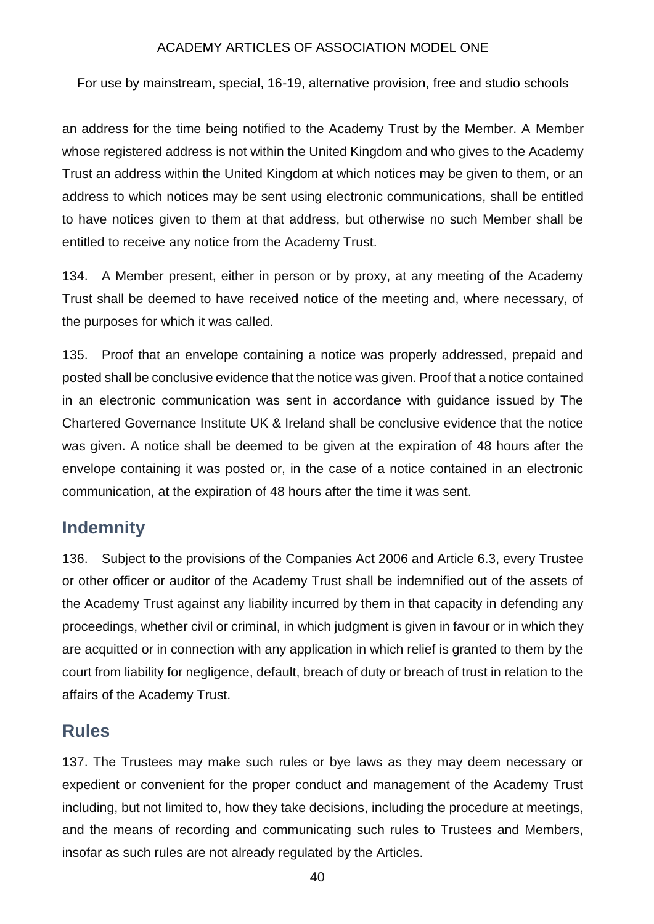For use by mainstream, special, 16-19, alternative provision, free and studio schools

an address for the time being notified to the Academy Trust by the Member. A Member whose registered address is not within the United Kingdom and who gives to the Academy Trust an address within the United Kingdom at which notices may be given to them, or an address to which notices may be sent using electronic communications, shall be entitled to have notices given to them at that address, but otherwise no such Member shall be entitled to receive any notice from the Academy Trust.

134. A Member present, either in person or by proxy, at any meeting of the Academy Trust shall be deemed to have received notice of the meeting and, where necessary, of the purposes for which it was called.

135. Proof that an envelope containing a notice was properly addressed, prepaid and posted shall be conclusive evidence that the notice was given. Proof that a notice contained in an electronic communication was sent in accordance with guidance issued by The Chartered Governance Institute UK & Ireland shall be conclusive evidence that the notice was given. A notice shall be deemed to be given at the expiration of 48 hours after the envelope containing it was posted or, in the case of a notice contained in an electronic communication, at the expiration of 48 hours after the time it was sent.

## **Indemnity**

136. Subject to the provisions of the Companies Act 2006 and Article 6.3, every Trustee or other officer or auditor of the Academy Trust shall be indemnified out of the assets of the Academy Trust against any liability incurred by them in that capacity in defending any proceedings, whether civil or criminal, in which judgment is given in favour or in which they are acquitted or in connection with any application in which relief is granted to them by the court from liability for negligence, default, breach of duty or breach of trust in relation to the affairs of the Academy Trust.

## **Rules**

137. The Trustees may make such rules or bye laws as they may deem necessary or expedient or convenient for the proper conduct and management of the Academy Trust including, but not limited to, how they take decisions, including the procedure at meetings, and the means of recording and communicating such rules to Trustees and Members, insofar as such rules are not already regulated by the Articles.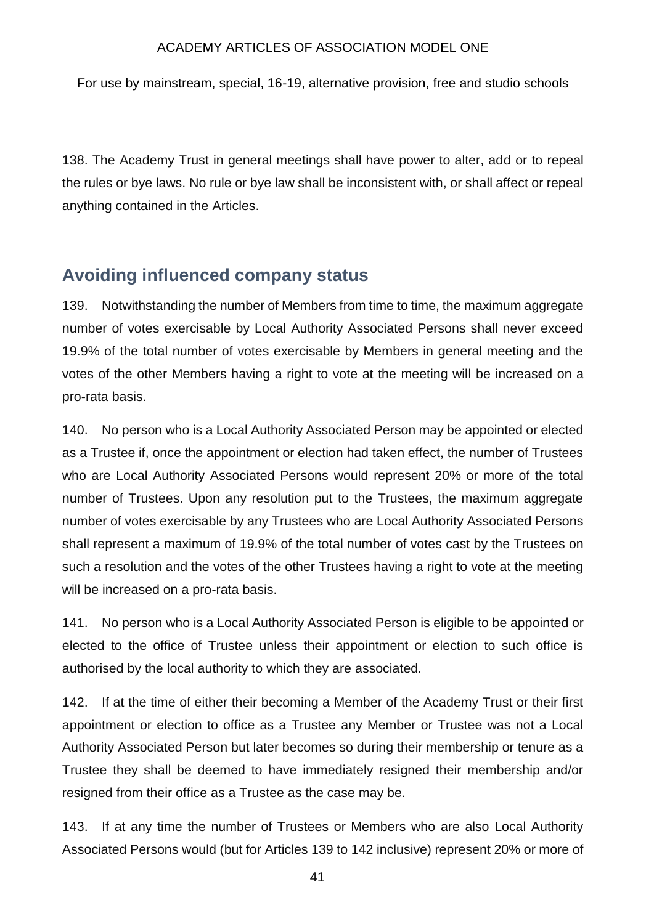For use by mainstream, special, 16-19, alternative provision, free and studio schools

138. The Academy Trust in general meetings shall have power to alter, add or to repeal the rules or bye laws. No rule or bye law shall be inconsistent with, or shall affect or repeal anything contained in the Articles.

### **Avoiding influenced company status**

139. Notwithstanding the number of Members from time to time, the maximum aggregate number of votes exercisable by Local Authority Associated Persons shall never exceed 19.9% of the total number of votes exercisable by Members in general meeting and the votes of the other Members having a right to vote at the meeting will be increased on a pro-rata basis.

140. No person who is a Local Authority Associated Person may be appointed or elected as a Trustee if, once the appointment or election had taken effect, the number of Trustees who are Local Authority Associated Persons would represent 20% or more of the total number of Trustees. Upon any resolution put to the Trustees, the maximum aggregate number of votes exercisable by any Trustees who are Local Authority Associated Persons shall represent a maximum of 19.9% of the total number of votes cast by the Trustees on such a resolution and the votes of the other Trustees having a right to vote at the meeting will be increased on a pro-rata basis.

141. No person who is a Local Authority Associated Person is eligible to be appointed or elected to the office of Trustee unless their appointment or election to such office is authorised by the local authority to which they are associated.

142. If at the time of either their becoming a Member of the Academy Trust or their first appointment or election to office as a Trustee any Member or Trustee was not a Local Authority Associated Person but later becomes so during their membership or tenure as a Trustee they shall be deemed to have immediately resigned their membership and/or resigned from their office as a Trustee as the case may be.

143. If at any time the number of Trustees or Members who are also Local Authority Associated Persons would (but for Articles 139 to 142 inclusive) represent 20% or more of